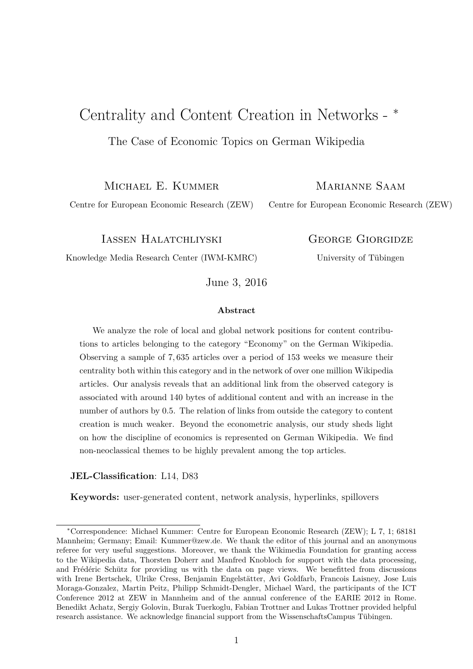## <span id="page-0-0"></span>Centrality and Content Creation in Networks - <sup>∗</sup>

The Case of Economic Topics on German Wikipedia

MICHAEL E. KUMMER MARIANNE SAAM

Centre for European Economic Research (ZEW) Centre for European Economic Research (ZEW)

Iassen Halatchliyski George Giorgidze

Knowledge Media Research Center (IWM-KMRC) University of Tübingen

June 3, 2016

#### **Abstract**

We analyze the role of local and global network positions for content contributions to articles belonging to the category "Economy" on the German Wikipedia. Observing a sample of 7*,* 635 articles over a period of 153 weeks we measure their centrality both within this category and in the network of over one million Wikipedia articles. Our analysis reveals that an additional link from the observed category is associated with around 140 bytes of additional content and with an increase in the number of authors by 0*.*5. The relation of links from outside the category to content creation is much weaker. Beyond the econometric analysis, our study sheds light on how the discipline of economics is represented on German Wikipedia. We find non-neoclassical themes to be highly prevalent among the top articles.

#### **JEL-Classification**: L14, D83

**Keywords:** user-generated content, network analysis, hyperlinks, spillovers

<sup>∗</sup>Correspondence: Michael Kummer: Centre for European Economic Research (ZEW); L 7, 1; 68181 Mannheim; Germany; Email: Kummer@zew.de. We thank the editor of this journal and an anonymous referee for very useful suggestions. Moreover, we thank the Wikimedia Foundation for granting access to the Wikipedia data, Thorsten Doherr and Manfred Knobloch for support with the data processing, and Frédéric Schütz for providing us with the data on page views. We benefitted from discussions with Irene Bertschek, Ulrike Cress, Benjamin Engelstätter, Avi Goldfarb, Francois Laisney, Jose Luis Moraga-Gonzalez, Martin Peitz, Philipp Schmidt-Dengler, Michael Ward, the participants of the ICT Conference 2012 at ZEW in Mannheim and of the annual conference of the EARIE 2012 in Rome. Benedikt Achatz, Sergiy Golovin, Burak Tuerkoglu, Fabian Trottner and Lukas Trottner provided helpful research assistance. We acknowledge financial support from the WissenschaftsCampus Tübingen.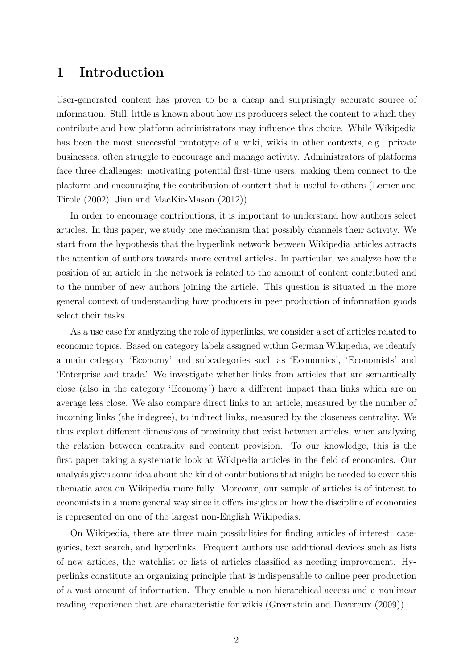## **1 Introduction**

User-generated content has proven to be a cheap and surprisingly accurate source of information. Still, little is known about how its producers select the content to which they contribute and how platform administrators may influence this choice. While Wikipedia has been the most successful prototype of a wiki, wikis in other contexts, e.g. private businesses, often struggle to encourage and manage activity. Administrators of platforms face three challenges: motivating potential first-time users, making them connect to the platform and encouraging the contribution of content that is useful to others [\(Lerner and](#page-28-0) [Tirole](#page-28-0) [\(2002\)](#page-28-0), [Jian and MacKie-Mason](#page-28-1) [\(2012\)](#page-28-1)).

In order to encourage contributions, it is important to understand how authors select articles. In this paper, we study one mechanism that possibly channels their activity. We start from the hypothesis that the hyperlink network between Wikipedia articles attracts the attention of authors towards more central articles. In particular, we analyze how the position of an article in the network is related to the amount of content contributed and to the number of new authors joining the article. This question is situated in the more general context of understanding how producers in peer production of information goods select their tasks.

As a use case for analyzing the role of hyperlinks, we consider a set of articles related to economic topics. Based on category labels assigned within German Wikipedia, we identify a main category 'Economy' and subcategories such as 'Economics', 'Economists' and 'Enterprise and trade.' We investigate whether links from articles that are semantically close (also in the category 'Economy') have a different impact than links which are on average less close. We also compare direct links to an article, measured by the number of incoming links (the indegree), to indirect links, measured by the closeness centrality. We thus exploit different dimensions of proximity that exist between articles, when analyzing the relation between centrality and content provision. To our knowledge, this is the first paper taking a systematic look at Wikipedia articles in the field of economics. Our analysis gives some idea about the kind of contributions that might be needed to cover this thematic area on Wikipedia more fully. Moreover, our sample of articles is of interest to economists in a more general way since it offers insights on how the discipline of economics is represented on one of the largest non-English Wikipedias.

On Wikipedia, there are three main possibilities for finding articles of interest: categories, text search, and hyperlinks. Frequent authors use additional devices such as lists of new articles, the watchlist or lists of articles classified as needing improvement. Hyperlinks constitute an organizing principle that is indispensable to online peer production of a vast amount of information. They enable a non-hierarchical access and a nonlinear reading experience that are characteristic for wikis [\(Greenstein and Devereux](#page-28-2) [\(2009\)](#page-28-2)).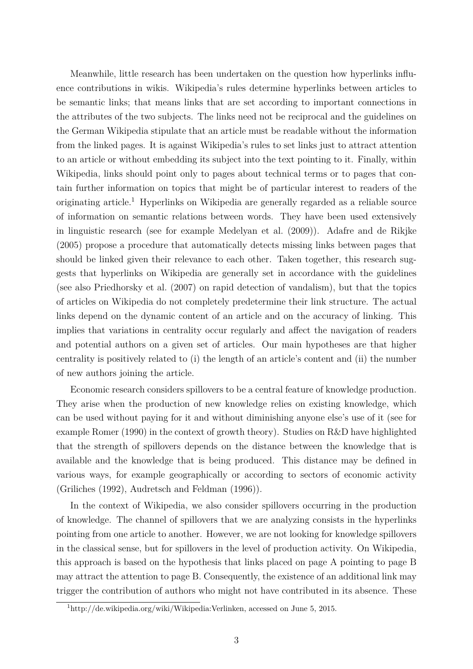Meanwhile, little research has been undertaken on the question how hyperlinks influence contributions in wikis. Wikipedia's rules determine hyperlinks between articles to be semantic links; that means links that are set according to important connections in the attributes of the two subjects. The links need not be reciprocal and the guidelines on the German Wikipedia stipulate that an article must be readable without the information from the linked pages. It is against Wikipedia's rules to set links just to attract attention to an article or without embedding its subject into the text pointing to it. Finally, within Wikipedia, links should point only to pages about technical terms or to pages that contain further information on topics that might be of particular interest to readers of the originating article.[1](#page-2-0) Hyperlinks on Wikipedia are generally regarded as a reliable source of information on semantic relations between words. They have been used extensively in linguistic research (see for example [Medelyan et al.](#page-29-0) [\(2009\)](#page-29-0)). [Adafre and de Rikjke](#page-26-0) [\(2005\)](#page-26-0) propose a procedure that automatically detects missing links between pages that should be linked given their relevance to each other. Taken together, this research suggests that hyperlinks on Wikipedia are generally set in accordance with the guidelines (see also [Priedhorsky et al.](#page-29-1) [\(2007\)](#page-29-1) on rapid detection of vandalism), but that the topics of articles on Wikipedia do not completely predetermine their link structure. The actual links depend on the dynamic content of an article and on the accuracy of linking. This implies that variations in centrality occur regularly and affect the navigation of readers and potential authors on a given set of articles. Our main hypotheses are that higher centrality is positively related to (i) the length of an article's content and (ii) the number of new authors joining the article.

Economic research considers spillovers to be a central feature of knowledge production. They arise when the production of new knowledge relies on existing knowledge, which can be used without paying for it and without diminishing anyone else's use of it (see for example [Romer](#page-29-2) [\(1990\)](#page-29-2) in the context of growth theory). Studies on R&D have highlighted that the strength of spillovers depends on the distance between the knowledge that is available and the knowledge that is being produced. This distance may be defined in various ways, for example geographically or according to sectors of economic activity [\(Griliches](#page-28-3) [\(1992\)](#page-28-3), [Audretsch and Feldman](#page-26-1) [\(1996\)](#page-26-1)).

In the context of Wikipedia, we also consider spillovers occurring in the production of knowledge. The channel of spillovers that we are analyzing consists in the hyperlinks pointing from one article to another. However, we are not looking for knowledge spillovers in the classical sense, but for spillovers in the level of production activity. On Wikipedia, this approach is based on the hypothesis that links placed on page A pointing to page B may attract the attention to page B. Consequently, the existence of an additional link may trigger the contribution of authors who might not have contributed in its absence. These

<span id="page-2-0"></span><sup>1</sup>http://de.wikipedia.org/wiki/Wikipedia:Verlinken, accessed on June 5, 2015.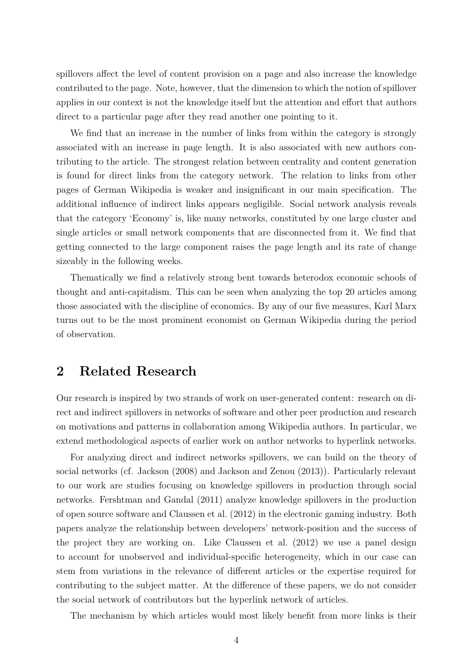spillovers affect the level of content provision on a page and also increase the knowledge contributed to the page. Note, however, that the dimension to which the notion of spillover applies in our context is not the knowledge itself but the attention and effort that authors direct to a particular page after they read another one pointing to it.

We find that an increase in the number of links from within the category is strongly associated with an increase in page length. It is also associated with new authors contributing to the article. The strongest relation between centrality and content generation is found for direct links from the category network. The relation to links from other pages of German Wikipedia is weaker and insignificant in our main specification. The additional influence of indirect links appears negligible. Social network analysis reveals that the category 'Economy' is, like many networks, constituted by one large cluster and single articles or small network components that are disconnected from it. We find that getting connected to the large component raises the page length and its rate of change sizeably in the following weeks.

Thematically we find a relatively strong bent towards heterodox economic schools of thought and anti-capitalism. This can be seen when analyzing the top 20 articles among those associated with the discipline of economics. By any of our five measures, Karl Marx turns out to be the most prominent economist on German Wikipedia during the period of observation.

## **2 Related Research**

Our research is inspired by two strands of work on user-generated content: research on direct and indirect spillovers in networks of software and other peer production and research on motivations and patterns in collaboration among Wikipedia authors. In particular, we extend methodological aspects of earlier work on author networks to hyperlink networks.

For analyzing direct and indirect networks spillovers, we can build on the theory of social networks (cf. [Jackson](#page-28-4) [\(2008\)](#page-28-4) and [Jackson and Zenou](#page-28-5) [\(2013\)](#page-28-5)). Particularly relevant to our work are studies focusing on knowledge spillovers in production through social networks. [Fershtman and Gandal](#page-27-0) [\(2011\)](#page-27-0) analyze knowledge spillovers in the production of open source software and [Claussen et al.](#page-26-2) [\(2012\)](#page-26-2) in the electronic gaming industry. Both papers analyze the relationship between developers' network-position and the success of the project they are working on. Like [Claussen et al.](#page-26-2) [\(2012\)](#page-26-2) we use a panel design to account for unobserved and individual-specific heterogeneity, which in our case can stem from variations in the relevance of different articles or the expertise required for contributing to the subject matter. At the difference of these papers, we do not consider the social network of contributors but the hyperlink network of articles.

The mechanism by which articles would most likely benefit from more links is their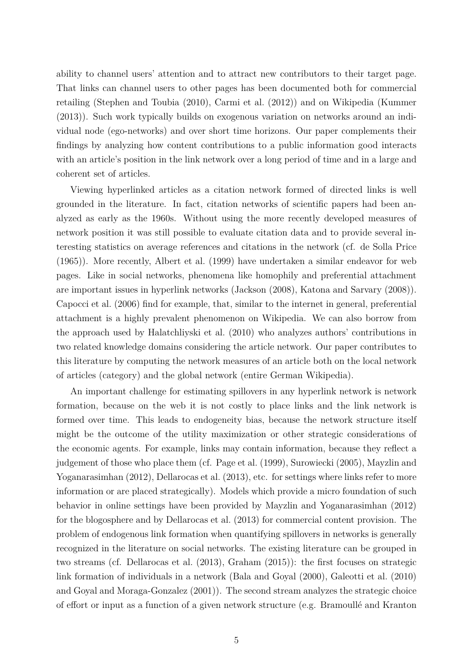ability to channel users' attention and to attract new contributors to their target page. That links can channel users to other pages has been documented both for commercial retailing [\(Stephen and Toubia](#page-29-3) [\(2010\)](#page-29-3), [Carmi et al.](#page-26-3) [\(2012\)](#page-26-3)) and on Wikipedia [\(Kummer](#page-28-6) [\(2013\)](#page-28-6)). Such work typically builds on exogenous variation on networks around an individual node (ego-networks) and over short time horizons. Our paper complements their findings by analyzing how content contributions to a public information good interacts with an article's position in the link network over a long period of time and in a large and coherent set of articles.

Viewing hyperlinked articles as a citation network formed of directed links is well grounded in the literature. In fact, citation networks of scientific papers had been analyzed as early as the 1960s. Without using the more recently developed measures of network position it was still possible to evaluate citation data and to provide several interesting statistics on average references and citations in the network (cf. [de Solla Price](#page-27-1) [\(1965\)](#page-27-1)). More recently, [Albert et al.](#page-26-4) [\(1999\)](#page-26-4) have undertaken a similar endeavor for web pages. Like in social networks, phenomena like homophily and preferential attachment are important issues in hyperlink networks [\(Jackson](#page-28-4) [\(2008\)](#page-28-4), [Katona and Sarvary](#page-28-7) [\(2008\)](#page-28-7)). [Capocci et al.](#page-26-5) [\(2006\)](#page-26-5) find for example, that, similar to the internet in general, preferential attachment is a highly prevalent phenomenon on Wikipedia. We can also borrow from the approach used by [Halatchliyski et al.](#page-28-8) [\(2010\)](#page-28-8) who analyzes authors' contributions in two related knowledge domains considering the article network. Our paper contributes to this literature by computing the network measures of an article both on the local network of articles (category) and the global network (entire German Wikipedia).

An important challenge for estimating spillovers in any hyperlink network is network formation, because on the web it is not costly to place links and the link network is formed over time. This leads to endogeneity bias, because the network structure itself might be the outcome of the utility maximization or other strategic considerations of the economic agents. For example, links may contain information, because they reflect a judgement of those who place them (cf. [Page et al.](#page-29-4) [\(1999\)](#page-29-4), [Surowiecki](#page-29-5) [\(2005\)](#page-29-5), [Mayzlin and](#page-29-6) [Yoganarasimhan](#page-29-6) [\(2012\)](#page-29-6), [Dellarocas et al.](#page-27-2) [\(2013\)](#page-27-2), etc. for settings where links refer to more information or are placed strategically). Models which provide a micro foundation of such behavior in online settings have been provided by [Mayzlin and Yoganarasimhan](#page-29-6) [\(2012\)](#page-29-6) for the blogosphere and by [Dellarocas et al.](#page-27-2) [\(2013\)](#page-27-2) for commercial content provision. The problem of endogenous link formation when quantifying spillovers in networks is generally recognized in the literature on social networks. The existing literature can be grouped in two streams (cf. [Dellarocas et al.](#page-27-2) [\(2013\)](#page-27-2), [Graham](#page-27-3) [\(2015\)](#page-27-3)): the first focuses on strategic link formation of individuals in a network [\(Bala and Goyal](#page-26-6) [\(2000\)](#page-26-6), [Galeotti et al.](#page-27-4) [\(2010\)](#page-27-4) and [Goyal and Moraga-Gonzalez](#page-27-5) [\(2001\)](#page-27-5)). The second stream analyzes the strategic choice of effort or input as a function of a given network structure (e.g. [Bramoullé and Kranton](#page-26-7)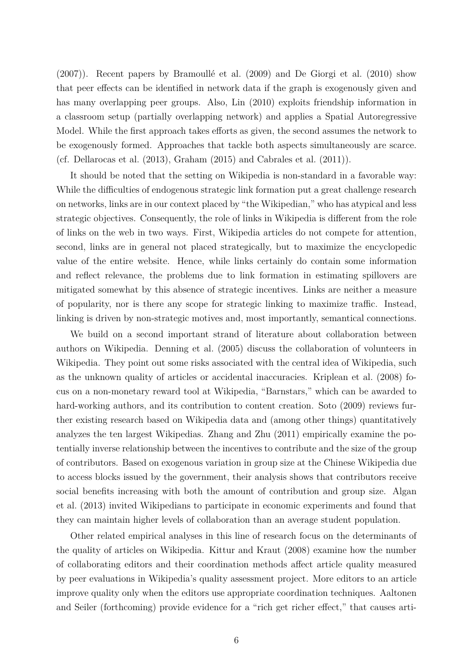[\(2007\)](#page-26-7)). Recent papers by [Bramoullé et al.](#page-26-8) [\(2009\)](#page-26-8) and [De Giorgi et al.](#page-27-6) [\(2010\)](#page-27-6) show that peer effects can be identified in network data if the graph is exogenously given and has many overlapping peer groups. Also, [Lin](#page-28-9) [\(2010\)](#page-28-9) exploits friendship information in a classroom setup (partially overlapping network) and applies a Spatial Autoregressive Model. While the first approach takes efforts as given, the second assumes the network to be exogenously formed. Approaches that tackle both aspects simultaneously are scarce. (cf. [Dellarocas et al.](#page-27-2) [\(2013\)](#page-27-2), [Graham](#page-27-3) [\(2015\)](#page-27-3) and [Cabrales et al.](#page-26-9) [\(2011\)](#page-26-9)).

It should be noted that the setting on Wikipedia is non-standard in a favorable way: While the difficulties of endogenous strategic link formation put a great challenge research on networks, links are in our context placed by "the Wikipedian," who has atypical and less strategic objectives. Consequently, the role of links in Wikipedia is different from the role of links on the web in two ways. First, Wikipedia articles do not compete for attention, second, links are in general not placed strategically, but to maximize the encyclopedic value of the entire website. Hence, while links certainly do contain some information and reflect relevance, the problems due to link formation in estimating spillovers are mitigated somewhat by this absence of strategic incentives. Links are neither a measure of popularity, nor is there any scope for strategic linking to maximize traffic. Instead, linking is driven by non-strategic motives and, most importantly, semantical connections.

We build on a second important strand of literature about collaboration between authors on Wikipedia. [Denning et al.](#page-27-7) [\(2005\)](#page-27-7) discuss the collaboration of volunteers in Wikipedia. They point out some risks associated with the central idea of Wikipedia, such as the unknown quality of articles or accidental inaccuracies. [Kriplean et al.](#page-28-10) [\(2008\)](#page-28-10) focus on a non-monetary reward tool at Wikipedia, "Barnstars," which can be awarded to hard-working authors, and its contribution to content creation. [Soto](#page-29-7) [\(2009\)](#page-29-7) reviews further existing research based on Wikipedia data and (among other things) quantitatively analyzes the ten largest Wikipedias. [Zhang and Zhu](#page-29-8) [\(2011\)](#page-29-8) empirically examine the potentially inverse relationship between the incentives to contribute and the size of the group of contributors. Based on exogenous variation in group size at the Chinese Wikipedia due to access blocks issued by the government, their analysis shows that contributors receive social benefits increasing with both the amount of contribution and group size. [Algan](#page-26-10) [et al.](#page-26-10) [\(2013\)](#page-26-10) invited Wikipedians to participate in economic experiments and found that they can maintain higher levels of collaboration than an average student population.

Other related empirical analyses in this line of research focus on the determinants of the quality of articles on Wikipedia. [Kittur and Kraut](#page-28-11) [\(2008\)](#page-28-11) examine how the number of collaborating editors and their coordination methods affect article quality measured by peer evaluations in Wikipedia's quality assessment project. More editors to an article improve quality only when the editors use appropriate coordination techniques. [Aaltonen](#page-26-11) [and Seiler](#page-26-11) [\(forthcoming\)](#page-26-11) provide evidence for a "rich get richer effect," that causes arti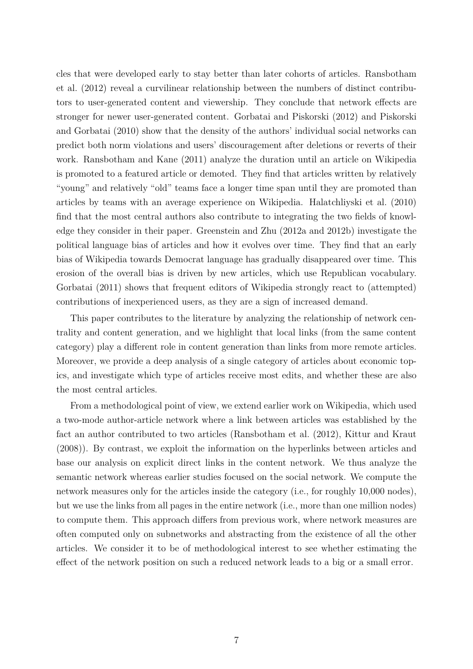cles that were developed early to stay better than later cohorts of articles. [Ransbotham](#page-29-9) [et al.](#page-29-9) [\(2012\)](#page-29-9) reveal a curvilinear relationship between the numbers of distinct contributors to user-generated content and viewership. They conclude that network effects are stronger for newer user-generated content. [Gorbatai and Piskorski](#page-27-8) [\(2012\)](#page-27-8) and [Piskorski](#page-29-10) [and Gorbatai](#page-29-10) [\(2010\)](#page-29-10) show that the density of the authors' individual social networks can predict both norm violations and users' discouragement after deletions or reverts of their work. [Ransbotham and Kane](#page-29-11) [\(2011\)](#page-29-11) analyze the duration until an article on Wikipedia is promoted to a featured article or demoted. They find that articles written by relatively "young" and relatively "old" teams face a longer time span until they are promoted than articles by teams with an average experience on Wikipedia. [Halatchliyski et al.](#page-28-8) [\(2010\)](#page-28-8) find that the most central authors also contribute to integrating the two fields of knowledge they consider in their paper. Greenstein and Zhu [\(2012a](#page-27-9) and [2012b\)](#page-28-12) investigate the political language bias of articles and how it evolves over time. They find that an early bias of Wikipedia towards Democrat language has gradually disappeared over time. This erosion of the overall bias is driven by new articles, which use Republican vocabulary. [Gorbatai](#page-27-10) [\(2011\)](#page-27-10) shows that frequent editors of Wikipedia strongly react to (attempted) contributions of inexperienced users, as they are a sign of increased demand.

This paper contributes to the literature by analyzing the relationship of network centrality and content generation, and we highlight that local links (from the same content category) play a different role in content generation than links from more remote articles. Moreover, we provide a deep analysis of a single category of articles about economic topics, and investigate which type of articles receive most edits, and whether these are also the most central articles.

From a methodological point of view, we extend earlier work on Wikipedia, which used a two-mode author-article network where a link between articles was established by the fact an author contributed to two articles [\(Ransbotham et al.](#page-29-9) [\(2012\)](#page-29-9), [Kittur and Kraut](#page-28-11) [\(2008\)](#page-28-11)). By contrast, we exploit the information on the hyperlinks between articles and base our analysis on explicit direct links in the content network. We thus analyze the semantic network whereas earlier studies focused on the social network. We compute the network measures only for the articles inside the category (i.e., for roughly 10,000 nodes), but we use the links from all pages in the entire network (i.e., more than one million nodes) to compute them. This approach differs from previous work, where network measures are often computed only on subnetworks and abstracting from the existence of all the other articles. We consider it to be of methodological interest to see whether estimating the effect of the network position on such a reduced network leads to a big or a small error.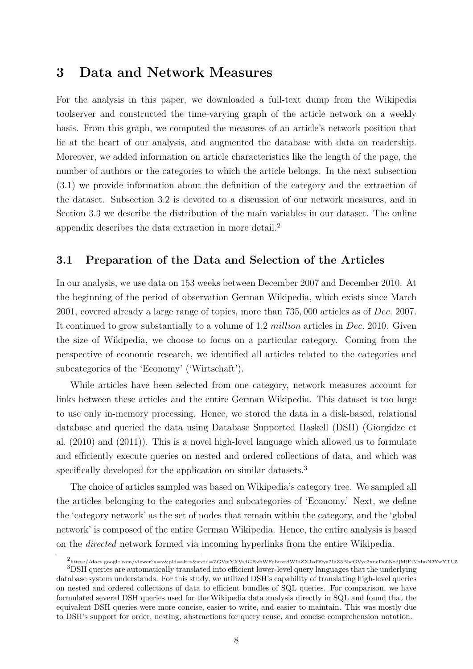## **3 Data and Network Measures**

For the analysis in this paper, we downloaded a full-text dump from the Wikipedia toolserver and constructed the time-varying graph of the article network on a weekly basis. From this graph, we computed the measures of an article's network position that lie at the heart of our analysis, and augmented the database with data on readership. Moreover, we added information on article characteristics like the length of the page, the number of authors or the categories to which the article belongs. In the next subsection [\(3.1\)](#page-7-0) we provide information about the definition of the category and the extraction of the dataset. Subsection [3.2](#page-8-0) is devoted to a discussion of our network measures, and in Section [3.3](#page-11-0) we describe the distribution of the main variables in our dataset. The online appendix describes the data extraction in more detail.[2](#page-7-1)

### <span id="page-7-0"></span>**3.1 Preparation of the Data and Selection of the Articles**

In our analysis, we use data on 153 weeks between December 2007 and December 2010. At the beginning of the period of observation German Wikipedia, which exists since March 2001, covered already a large range of topics, more than 735*,* 000 articles as of *Dec.* 2007. It continued to grow substantially to a volume of 1*.*2 *million* articles in *Dec.* 2010. Given the size of Wikipedia, we choose to focus on a particular category. Coming from the perspective of economic research, we identified all articles related to the categories and subcategories of the 'Economy' ('Wirtschaft').

While articles have been selected from one category, network measures account for links between these articles and the entire German Wikipedia. This dataset is too large to use only in-memory processing. Hence, we stored the data in a disk-based, relational database and queried the data using Database Supported Haskell (DSH) [\(Giorgidze et](#page-27-11) [al.](#page-27-11) [\(2010\)](#page-27-11) and [\(2011\)](#page-27-12)). This is a novel high-level language which allowed us to formulate and efficiently execute queries on nested and ordered collections of data, and which was specifically developed for the application on similar datasets.<sup>[3](#page-7-2)</sup>

The choice of articles sampled was based on Wikipedia's category tree. We sampled all the articles belonging to the categories and subcategories of 'Economy.' Next, we define the 'category network' as the set of nodes that remain within the category, and the 'global network' is composed of the entire German Wikipedia. Hence, the entire analysis is based on the *directed* network formed via incoming hyperlinks from the entire Wikipedia.

<span id="page-7-2"></span><span id="page-7-1"></span> $^2$ [https://docs.google.com/viewer?a=v&pid=sites&srcid=ZGVmYXVsdGRvbWFpbnxrdW1tZXJzd29ya2luZ3BhcGVyc3xneDo0NzdjMjFiMzlmN2YwYTU5](#page-0-0) <sup>3</sup>DSH queries are automatically translated into efficient lower-level query languages that the underlying database system understands. For this study, we utilized DSH's capability of translating high-level queries on nested and ordered collections of data to efficient bundles of SQL queries. For comparison, we have formulated several DSH queries used for the Wikipedia data analysis directly in SQL and found that the equivalent DSH queries were more concise, easier to write, and easier to maintain. This was mostly due to DSH's support for order, nesting, abstractions for query reuse, and concise comprehension notation.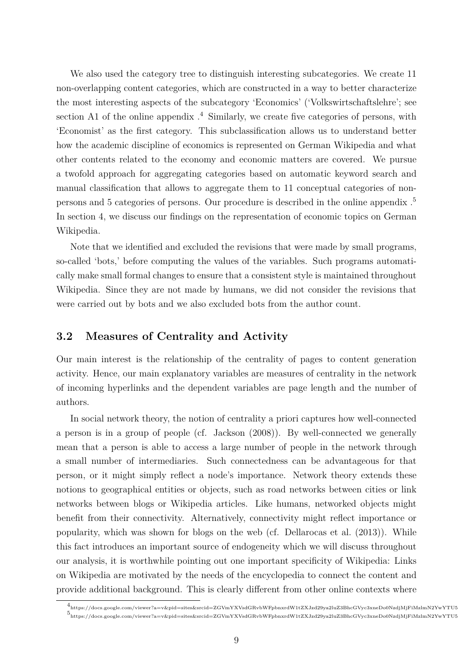We also used the category tree to distinguish interesting subcategories. We create 11 non-overlapping content categories, which are constructed in a way to better characterize the most interesting aspects of the subcategory 'Economics' ('Volkswirtschaftslehre'; see section A1 of the online appendix  $\cdot^4$  $\cdot^4$  Similarly, we create five categories of persons, with 'Economist' as the first category. This subclassification allows us to understand better how the academic discipline of economics is represented on German Wikipedia and what other contents related to the economy and economic matters are covered. We pursue a twofold approach for aggregating categories based on automatic keyword search and manual classification that allows to aggregate them to 11 conceptual categories of nonpersons and 5 categories of persons. Our procedure is described in the online appendix .[5](#page-8-2) In section [4,](#page-13-0) we discuss our findings on the representation of economic topics on German Wikipedia.

Note that we identified and excluded the revisions that were made by small programs, so-called 'bots,' before computing the values of the variables. Such programs automatically make small formal changes to ensure that a consistent style is maintained throughout Wikipedia. Since they are not made by humans, we did not consider the revisions that were carried out by bots and we also excluded bots from the author count.

### <span id="page-8-0"></span>**3.2 Measures of Centrality and Activity**

Our main interest is the relationship of the centrality of pages to content generation activity. Hence, our main explanatory variables are measures of centrality in the network of incoming hyperlinks and the dependent variables are page length and the number of authors.

In social network theory, the notion of centrality a priori captures how well-connected a person is in a group of people (cf. [Jackson](#page-28-4) [\(2008\)](#page-28-4)). By well-connected we generally mean that a person is able to access a large number of people in the network through a small number of intermediaries. Such connectedness can be advantageous for that person, or it might simply reflect a node's importance. Network theory extends these notions to geographical entities or objects, such as road networks between cities or link networks between blogs or Wikipedia articles. Like humans, networked objects might benefit from their connectivity. Alternatively, connectivity might reflect importance or popularity, which was shown for blogs on the web (cf. [Dellarocas et al.](#page-27-2) [\(2013\)](#page-27-2)). While this fact introduces an important source of endogeneity which we will discuss throughout our analysis, it is worthwhile pointing out one important specificity of Wikipedia: Links on Wikipedia are motivated by the needs of the encyclopedia to connect the content and provide additional background. This is clearly different from other online contexts where

<span id="page-8-2"></span><span id="page-8-1"></span> $^4$ [https://docs.google.com/viewer?a=v&pid=sites&srcid=ZGVmYXVsdGRvbWFpbnxrdW1tZXJzd29ya2luZ3BhcGVyc3xneDo0NzdjMjFiMzlmN2YwYTU5](#page-0-0) 5 https://docs.google.com/viewer?a=v&pid=sites&srcid=ZGVmYXVsdGRvbWFpbnxrdW1tZXJzd29ya2luZ3BhcGVyc3xneDo0NzdjMjFiMzlmN2YwYTU5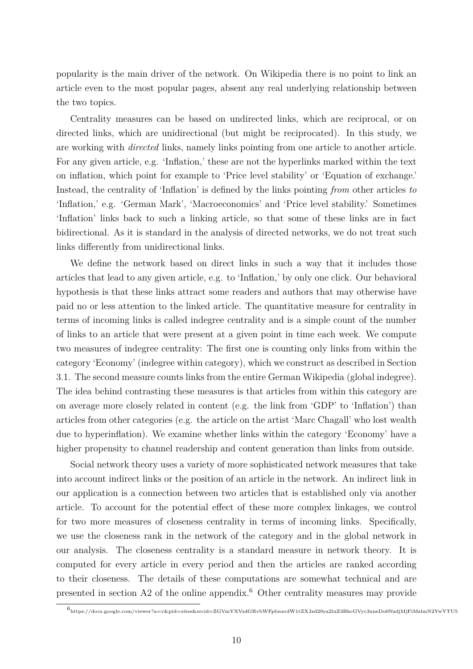popularity is the main driver of the network. On Wikipedia there is no point to link an article even to the most popular pages, absent any real underlying relationship between the two topics.

Centrality measures can be based on undirected links, which are reciprocal, or on directed links, which are unidirectional (but might be reciprocated). In this study, we are working with *directed* links, namely links pointing from one article to another article. For any given article, e.g. 'Inflation,' these are not the hyperlinks marked within the text on inflation, which point for example to 'Price level stability' or 'Equation of exchange.' Instead, the centrality of 'Inflation' is defined by the links pointing *from* other articles *to* 'Inflation,' e.g. 'German Mark', 'Macroeconomics' and 'Price level stability.' Sometimes 'Inflation' links back to such a linking article, so that some of these links are in fact bidirectional. As it is standard in the analysis of directed networks, we do not treat such links differently from unidirectional links.

We define the network based on direct links in such a way that it includes those articles that lead to any given article, e.g. to 'Inflation,' by only one click. Our behavioral hypothesis is that these links attract some readers and authors that may otherwise have paid no or less attention to the linked article. The quantitative measure for centrality in terms of incoming links is called indegree centrality and is a simple count of the number of links to an article that were present at a given point in time each week. We compute two measures of indegree centrality: The first one is counting only links from within the category 'Economy' (indegree within category), which we construct as described in Section [3.1.](#page-7-0) The second measure counts links from the entire German Wikipedia (global indegree). The idea behind contrasting these measures is that articles from within this category are on average more closely related in content (e.g. the link from 'GDP' to 'Inflation') than articles from other categories (e.g. the article on the artist 'Marc Chagall' who lost wealth due to hyperinflation). We examine whether links within the category 'Economy' have a higher propensity to channel readership and content generation than links from outside.

Social network theory uses a variety of more sophisticated network measures that take into account indirect links or the position of an article in the network. An indirect link in our application is a connection between two articles that is established only via another article. To account for the potential effect of these more complex linkages, we control for two more measures of closeness centrality in terms of incoming links. Specifically, we use the closeness rank in the network of the category and in the global network in our analysis. The closeness centrality is a standard measure in network theory. It is computed for every article in every period and then the articles are ranked according to their closeness. The details of these computations are somewhat technical and are presented in section A2 of the online appendix.[6](#page-9-0) Other centrality measures may provide

<span id="page-9-0"></span><sup>6</sup> [https://docs.google.com/viewer?a=v&pid=sites&srcid=ZGVmYXVsdGRvbWFpbnxrdW1tZXJzd29ya2luZ3BhcGVyc3xneDo0NzdjMjFiMzlmN2YwYTU5](#page-0-0)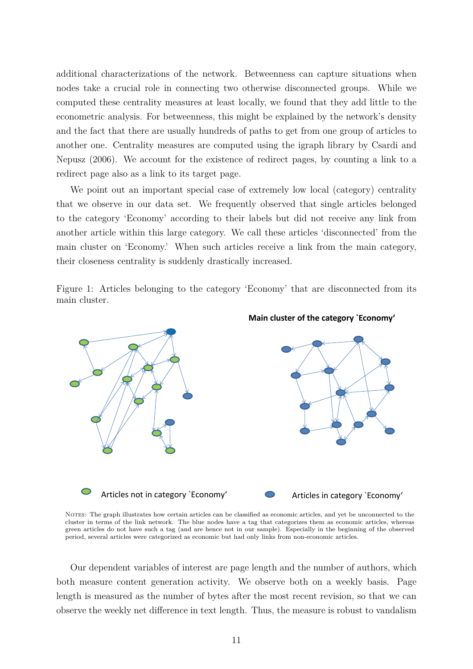additional characterizations of the network. Betweenness can capture situations when nodes take a crucial role in connecting two otherwise disconnected groups. While we computed these centrality measures at least locally, we found that they add little to the econometric analysis. For betweenness, this might be explained by the network's density and the fact that there are usually hundreds of paths to get from one group of articles to another one. Centrality measures are computed using the igraph library by [Csardi and](#page-26-12) [Nepusz](#page-26-12) [\(2006\)](#page-26-12). We account for the existence of redirect pages, by counting a link to a redirect page also as a link to its target page.

We point out an important special case of extremely low local (category) centrality that we observe in our data set. We frequently observed that single articles belonged to the category 'Economy' according to their labels but did not receive any link from another article within this large category. We call these articles 'disconnected' from the main cluster on 'Economy.' When such articles receive a link from the main category, their closeness centrality is suddenly drastically increased.

Figure 1: Articles belonging to the category 'Economy' that are disconnected from its main cluster.



**Main cluster of the category `Economy'**

NOTES: The graph illustrates how certain articles can be classified as economic articles, and yet be unconnected to the cluster in terms of the link network. The blue nodes have a tag that categorizes them as economic articles, whereas green articles do not have such a tag (and are hence not in our sample). Especially in the beginning of the observed period, several articles were categorized as economic but had only links from non-economic articles.

Our dependent variables of interest are page length and the number of authors, which both measure content generation activity. We observe both on a weekly basis. Page length is measured as the number of bytes after the most recent revision, so that we can observe the weekly net difference in text length. Thus, the measure is robust to vandalism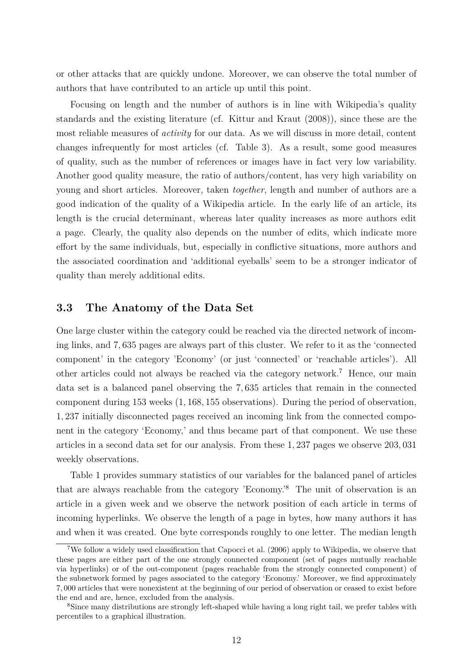or other attacks that are quickly undone. Moreover, we can observe the total number of authors that have contributed to an article up until this point.

Focusing on length and the number of authors is in line with Wikipedia's quality standards and the existing literature (cf. [Kittur and Kraut](#page-28-11) [\(2008\)](#page-28-11)), since these are the most reliable measures of *activity* for our data. As we will discuss in more detail, content changes infrequently for most articles (cf. Table [3\)](#page-31-0). As a result, some good measures of quality, such as the number of references or images have in fact very low variability. Another good quality measure, the ratio of authors/content, has very high variability on young and short articles. Moreover, taken *together*, length and number of authors are a good indication of the quality of a Wikipedia article. In the early life of an article, its length is the crucial determinant, whereas later quality increases as more authors edit a page. Clearly, the quality also depends on the number of edits, which indicate more effort by the same individuals, but, especially in conflictive situations, more authors and the associated coordination and 'additional eyeballs' seem to be a stronger indicator of quality than merely additional edits.

### <span id="page-11-0"></span>**3.3 The Anatomy of the Data Set**

One large cluster within the category could be reached via the directed network of incoming links, and 7*,* 635 pages are always part of this cluster. We refer to it as the 'connected component' in the category 'Economy' (or just 'connected' or 'reachable articles'). All other articles could not always be reached via the category network.[7](#page-11-1) Hence, our main data set is a balanced panel observing the 7*,* 635 articles that remain in the connected component during 153 weeks (1*,* 168*,* 155 observations). During the period of observation, 1*,* 237 initially disconnected pages received an incoming link from the connected component in the category 'Economy,' and thus became part of that component. We use these articles in a second data set for our analysis. From these 1*,* 237 pages we observe 203*,* 031 weekly observations.

Table [1](#page-30-0) provides summary statistics of our variables for the balanced panel of articles that are always reachable from the category 'Economy.'[8](#page-11-2) The unit of observation is an article in a given week and we observe the network position of each article in terms of incoming hyperlinks. We observe the length of a page in bytes, how many authors it has and when it was created. One byte corresponds roughly to one letter. The median length

<span id="page-11-1"></span><sup>&</sup>lt;sup>7</sup>We follow a widely used classification that [Capocci et al.](#page-26-5) [\(2006\)](#page-26-5) apply to Wikipedia, we observe that these pages are either part of the one strongly connected component (set of pages mutually reachable via hyperlinks) or of the out-component (pages reachable from the strongly connected component) of the subnetwork formed by pages associated to the category 'Economy.' Moreover, we find approximately 7*,* 000 articles that were nonexistent at the beginning of our period of observation or ceased to exist before the end and are, hence, excluded from the analysis.

<span id="page-11-2"></span><sup>8</sup>Since many distributions are strongly left-shaped while having a long right tail, we prefer tables with percentiles to a graphical illustration.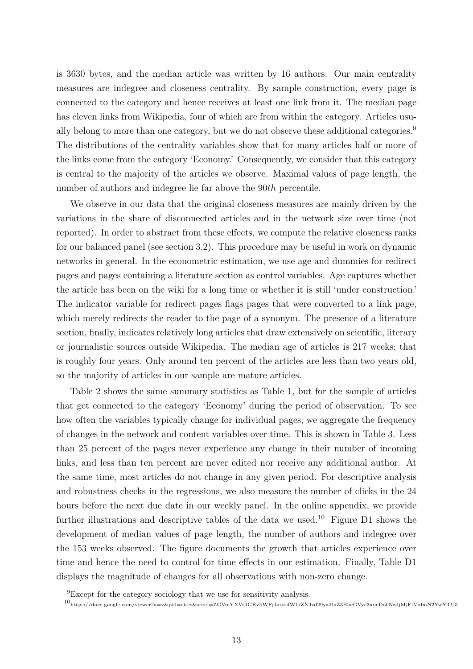is 3630 bytes, and the median article was written by 16 authors. Our main centrality measures are indegree and closeness centrality. By sample construction, every page is connected to the category and hence receives at least one link from it. The median page has eleven links from Wikipedia, four of which are from within the category. Articles usu-ally belong to more than one category, but we do not observe these additional categories.<sup>[9](#page-12-0)</sup> The distributions of the centrality variables show that for many articles half or more of the links come from the category 'Economy.' Consequently, we consider that this category is central to the majority of the articles we observe. Maximal values of page length, the number of authors and indegree lie far above the 90*th* percentile.

We observe in our data that the original closeness measures are mainly driven by the variations in the share of disconnected articles and in the network size over time (not reported). In order to abstract from these effects, we compute the relative closeness ranks for our balanced panel (see section [3.2\)](#page-8-0). This procedure may be useful in work on dynamic networks in general. In the econometric estimation, we use age and dummies for redirect pages and pages containing a literature section as control variables. Age captures whether the article has been on the wiki for a long time or whether it is still 'under construction.' The indicator variable for redirect pages flags pages that were converted to a link page, which merely redirects the reader to the page of a synonym. The presence of a literature section, finally, indicates relatively long articles that draw extensively on scientific, literary or journalistic sources outside Wikipedia. The median age of articles is 217 weeks; that is roughly four years. Only around ten percent of the articles are less than two years old, so the majority of articles in our sample are mature articles.

Table [2](#page-30-1) shows the same summary statistics as Table [1,](#page-30-0) but for the sample of articles that get connected to the category 'Economy' during the period of observation. To see how often the variables typically change for individual pages, we aggregate the frequency of changes in the network and content variables over time. This is shown in Table [3.](#page-31-0) Less than 25 percent of the pages never experience any change in their number of incoming links, and less than ten percent are never edited nor receive any additional author. At the same time, most articles do not change in any given period. For descriptive analysis and robustness checks in the regressions, we also measure the number of clicks in the 24 hours before the next due date in our weekly panel. In the online appendix, we provide further illustrations and descriptive tables of the data we used.<sup>[10](#page-12-1)</sup> Figure D1 shows the development of median values of page length, the number of authors and indegree over the 153 weeks observed. The figure documents the growth that articles experience over time and hence the need to control for time effects in our estimation. Finally, Table D1 displays the magnitude of changes for all observations with non-zero change.

<span id="page-12-0"></span><sup>9</sup>Except for the category sociology that we use for sensitivity analysis.

<span id="page-12-1"></span> $10_{\rm https://docs.google.com/viewer?a=v\&pid=sites\&srcid=ZGVmYXVsdGRvbWFpbnxrdW1tZXJzd29ya2luZ3BhcGVyc3xneDo0NzdjMjFiMzlmN2YwYTU5s2v2duZd29ya2luZ3BhcQVyc3xneDo0NzdjMjFiMzlmN2YwYTU5s2v2duZd29ya2luZ3BhcQVyc3xneDo0NzdjMjFiMzlmN2YwYTU5s2v2duZd29ya2luZ3BhcQVyc3xneDo0NzdjMjFiMzlmN2YwYTU5s2v2duZd29ya2luZ3BhcQ$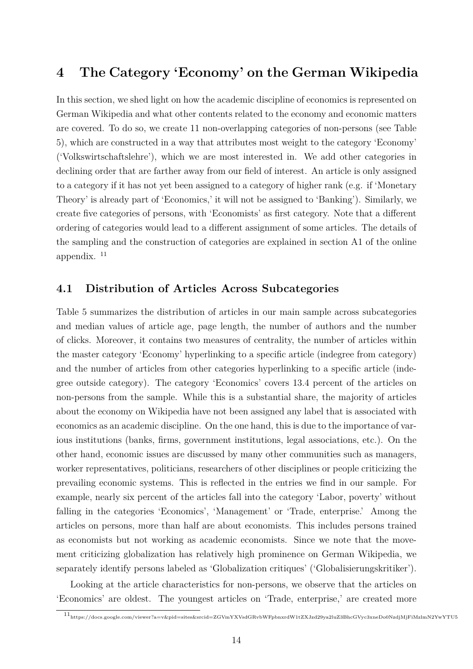## <span id="page-13-0"></span>**4 The Category 'Economy' on the German Wikipedia**

In this section, we shed light on how the academic discipline of economics is represented on German Wikipedia and what other contents related to the economy and economic matters are covered. To do so, we create 11 non-overlapping categories of non-persons (see Table [5\)](#page-33-0), which are constructed in a way that attributes most weight to the category 'Economy' ('Volkswirtschaftslehre'), which we are most interested in. We add other categories in declining order that are farther away from our field of interest. An article is only assigned to a category if it has not yet been assigned to a category of higher rank (e.g. if 'Monetary Theory' is already part of 'Economics,' it will not be assigned to 'Banking'). Similarly, we create five categories of persons, with 'Economists' as first category. Note that a different ordering of categories would lead to a different assignment of some articles. The details of the sampling and the construction of categories are explained in section A1 of the online appendix. [11](#page-13-1)

### **4.1 Distribution of Articles Across Subcategories**

Table [5](#page-33-0) summarizes the distribution of articles in our main sample across subcategories and median values of article age, page length, the number of authors and the number of clicks. Moreover, it contains two measures of centrality, the number of articles within the master category 'Economy' hyperlinking to a specific article (indegree from category) and the number of articles from other categories hyperlinking to a specific article (indegree outside category). The category 'Economics' covers 13.4 percent of the articles on non-persons from the sample. While this is a substantial share, the majority of articles about the economy on Wikipedia have not been assigned any label that is associated with economics as an academic discipline. On the one hand, this is due to the importance of various institutions (banks, firms, government institutions, legal associations, etc.). On the other hand, economic issues are discussed by many other communities such as managers, worker representatives, politicians, researchers of other disciplines or people criticizing the prevailing economic systems. This is reflected in the entries we find in our sample. For example, nearly six percent of the articles fall into the category 'Labor, poverty' without falling in the categories 'Economics', 'Management' or 'Trade, enterprise.' Among the articles on persons, more than half are about economists. This includes persons trained as economists but not working as academic economists. Since we note that the movement criticizing globalization has relatively high prominence on German Wikipedia, we separately identify persons labeled as 'Globalization critiques' ('Globalisierungskritiker').

Looking at the article characteristics for non-persons, we observe that the articles on 'Economics' are oldest. The youngest articles on 'Trade, enterprise,' are created more

<span id="page-13-1"></span><sup>11</sup>[https://docs.google.com/viewer?a=v&pid=sites&srcid=ZGVmYXVsdGRvbWFpbnxrdW1tZXJzd29ya2luZ3BhcGVyc3xneDo0NzdjMjFiMzlmN2YwYTU5](#page-0-0)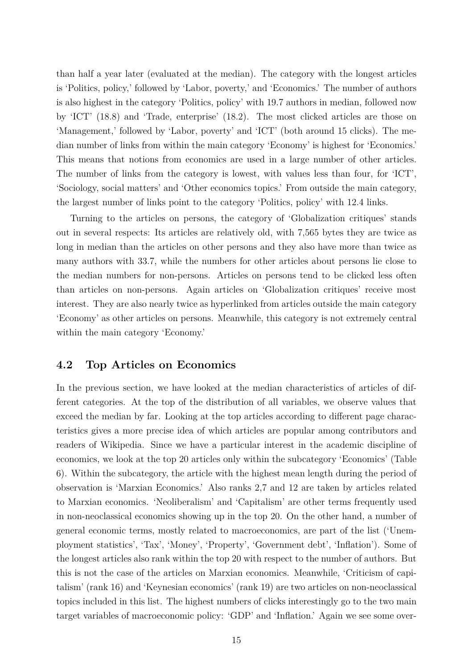than half a year later (evaluated at the median). The category with the longest articles is 'Politics, policy,' followed by 'Labor, poverty,' and 'Economics.' The number of authors is also highest in the category 'Politics, policy' with 19.7 authors in median, followed now by 'ICT' (18.8) and 'Trade, enterprise' (18.2). The most clicked articles are those on 'Management,' followed by 'Labor, poverty' and 'ICT' (both around 15 clicks). The median number of links from within the main category 'Economy' is highest for 'Economics.' This means that notions from economics are used in a large number of other articles. The number of links from the category is lowest, with values less than four, for 'ICT', 'Sociology, social matters' and 'Other economics topics.' From outside the main category, the largest number of links point to the category 'Politics, policy' with 12.4 links.

Turning to the articles on persons, the category of 'Globalization critiques' stands out in several respects: Its articles are relatively old, with 7,565 bytes they are twice as long in median than the articles on other persons and they also have more than twice as many authors with 33.7, while the numbers for other articles about persons lie close to the median numbers for non-persons. Articles on persons tend to be clicked less often than articles on non-persons. Again articles on 'Globalization critiques' receive most interest. They are also nearly twice as hyperlinked from articles outside the main category 'Economy' as other articles on persons. Meanwhile, this category is not extremely central within the main category 'Economy.'

### **4.2 Top Articles on Economics**

In the previous section, we have looked at the median characteristics of articles of different categories. At the top of the distribution of all variables, we observe values that exceed the median by far. Looking at the top articles according to different page characteristics gives a more precise idea of which articles are popular among contributors and readers of Wikipedia. Since we have a particular interest in the academic discipline of economics, we look at the top 20 articles only within the subcategory 'Economics' (Table [6\)](#page-34-0). Within the subcategory, the article with the highest mean length during the period of observation is 'Marxian Economics.' Also ranks 2,7 and 12 are taken by articles related to Marxian economics. 'Neoliberalism' and 'Capitalism' are other terms frequently used in non-neoclassical economics showing up in the top 20. On the other hand, a number of general economic terms, mostly related to macroeconomics, are part of the list ('Unemployment statistics', 'Tax', 'Money', 'Property', 'Government debt', 'Inflation'). Some of the longest articles also rank within the top 20 with respect to the number of authors. But this is not the case of the articles on Marxian economics. Meanwhile, 'Criticism of capitalism' (rank 16) and 'Keynesian economics' (rank 19) are two articles on non-neoclassical topics included in this list. The highest numbers of clicks interestingly go to the two main target variables of macroeconomic policy: 'GDP' and 'Inflation.' Again we see some over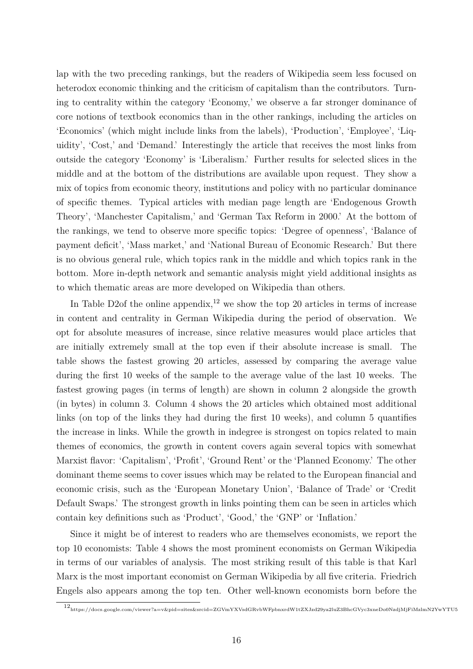lap with the two preceding rankings, but the readers of Wikipedia seem less focused on heterodox economic thinking and the criticism of capitalism than the contributors. Turning to centrality within the category 'Economy,' we observe a far stronger dominance of core notions of textbook economics than in the other rankings, including the articles on 'Economics' (which might include links from the labels), 'Production', 'Employee', 'Liquidity', 'Cost,' and 'Demand.' Interestingly the article that receives the most links from outside the category 'Economy' is 'Liberalism.' Further results for selected slices in the middle and at the bottom of the distributions are available upon request. They show a mix of topics from economic theory, institutions and policy with no particular dominance of specific themes. Typical articles with median page length are 'Endogenous Growth Theory', 'Manchester Capitalism,' and 'German Tax Reform in 2000.' At the bottom of the rankings, we tend to observe more specific topics: 'Degree of openness', 'Balance of payment deficit', 'Mass market,' and 'National Bureau of Economic Research.' But there is no obvious general rule, which topics rank in the middle and which topics rank in the bottom. More in-depth network and semantic analysis might yield additional insights as to which thematic areas are more developed on Wikipedia than others.

In Table D2of the online appendix,  $^{12}$  $^{12}$  $^{12}$  we show the top 20 articles in terms of increase in content and centrality in German Wikipedia during the period of observation. We opt for absolute measures of increase, since relative measures would place articles that are initially extremely small at the top even if their absolute increase is small. The table shows the fastest growing 20 articles, assessed by comparing the average value during the first 10 weeks of the sample to the average value of the last 10 weeks. The fastest growing pages (in terms of length) are shown in column 2 alongside the growth (in bytes) in column 3. Column 4 shows the 20 articles which obtained most additional links (on top of the links they had during the first 10 weeks), and column 5 quantifies the increase in links. While the growth in indegree is strongest on topics related to main themes of economics, the growth in content covers again several topics with somewhat Marxist flavor: 'Capitalism', 'Profit', 'Ground Rent' or the 'Planned Economy.' The other dominant theme seems to cover issues which may be related to the European financial and economic crisis, such as the 'European Monetary Union', 'Balance of Trade' or 'Credit Default Swaps.' The strongest growth in links pointing them can be seen in articles which contain key definitions such as 'Product', 'Good,' the 'GNP' or 'Inflation.'

Since it might be of interest to readers who are themselves economists, we report the top 10 economists: Table [4](#page-32-0) shows the most prominent economists on German Wikipedia in terms of our variables of analysis. The most striking result of this table is that Karl Marx is the most important economist on German Wikipedia by all five criteria. Friedrich Engels also appears among the top ten. Other well-known economists born before the

<span id="page-15-0"></span><sup>12</sup>[https://docs.google.com/viewer?a=v&pid=sites&srcid=ZGVmYXVsdGRvbWFpbnxrdW1tZXJzd29ya2luZ3BhcGVyc3xneDo0NzdjMjFiMzlmN2YwYTU5](#page-0-0)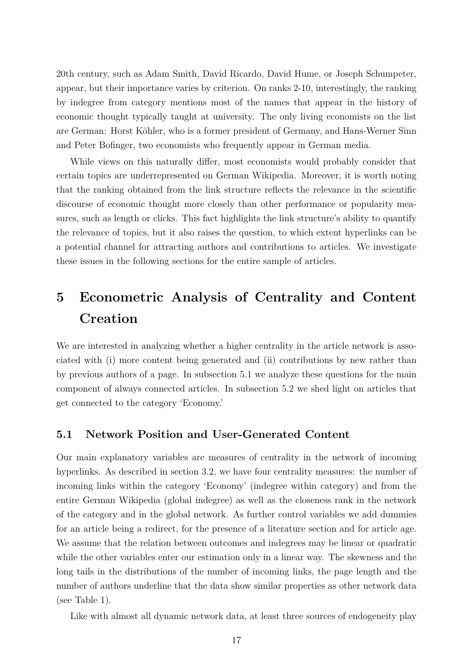20th century, such as Adam Smith, David Ricardo, David Hume, or Joseph Schumpeter, appear, but their importance varies by criterion. On ranks 2-10, interestingly, the ranking by indegree from category mentions most of the names that appear in the history of economic thought typically taught at university. The only living economists on the list are German: Horst Köhler, who is a former president of Germany, and Hans-Werner Sinn and Peter Bofinger, two economists who frequently appear in German media.

While views on this naturally differ, most economists would probably consider that certain topics are underrepresented on German Wikipedia. Moreover, it is worth noting that the ranking obtained from the link structure reflects the relevance in the scientific discourse of economic thought more closely than other performance or popularity measures, such as length or clicks. This fact highlights the link structure's ability to quantify the relevance of topics, but it also raises the question, to which extent hyperlinks can be a potential channel for attracting authors and contributions to articles. We investigate these issues in the following sections for the entire sample of articles.

# **5 Econometric Analysis of Centrality and Content Creation**

We are interested in analyzing whether a higher centrality in the article network is associated with (i) more content being generated and (ii) contributions by new rather than by previous authors of a page. In subsection [5.1](#page-16-0) we analyze these questions for the main component of always connected articles. In subsection [5.2](#page-19-0) we shed light on articles that get connected to the category 'Economy.'

### <span id="page-16-0"></span>**5.1 Network Position and User-Generated Content**

Our main explanatory variables are measures of centrality in the network of incoming hyperlinks. As described in section [3.2,](#page-8-0) we have four centrality measures: the number of incoming links within the category 'Economy' (indegree within category) and from the entire German Wikipedia (global indegree) as well as the closeness rank in the network of the category and in the global network. As further control variables we add dummies for an article being a redirect, for the presence of a literature section and for article age. We assume that the relation between outcomes and indegrees may be linear or quadratic while the other variables enter our estimation only in a linear way. The skewness and the long tails in the distributions of the number of incoming links, the page length and the number of authors underline that the data show similar properties as other network data (see Table [1\)](#page-30-0).

Like with almost all dynamic network data, at least three sources of endogeneity play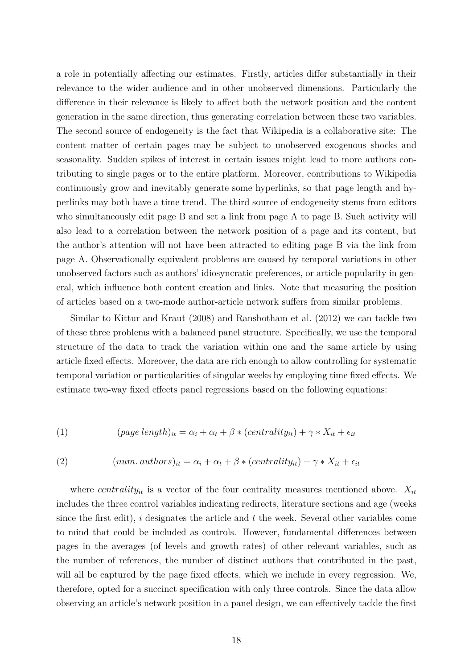a role in potentially affecting our estimates. Firstly, articles differ substantially in their relevance to the wider audience and in other unobserved dimensions. Particularly the difference in their relevance is likely to affect both the network position and the content generation in the same direction, thus generating correlation between these two variables. The second source of endogeneity is the fact that Wikipedia is a collaborative site: The content matter of certain pages may be subject to unobserved exogenous shocks and seasonality. Sudden spikes of interest in certain issues might lead to more authors contributing to single pages or to the entire platform. Moreover, contributions to Wikipedia continuously grow and inevitably generate some hyperlinks, so that page length and hyperlinks may both have a time trend. The third source of endogeneity stems from editors who simultaneously edit page B and set a link from page A to page B. Such activity will also lead to a correlation between the network position of a page and its content, but the author's attention will not have been attracted to editing page B via the link from page A. Observationally equivalent problems are caused by temporal variations in other unobserved factors such as authors' idiosyncratic preferences, or article popularity in general, which influence both content creation and links. Note that measuring the position of articles based on a two-mode author-article network suffers from similar problems.

Similar to [Kittur and Kraut](#page-28-11) [\(2008\)](#page-28-11) and [Ransbotham et al.](#page-29-9) [\(2012\)](#page-29-9) we can tackle two of these three problems with a balanced panel structure. Specifically, we use the temporal structure of the data to track the variation within one and the same article by using article fixed effects. Moreover, the data are rich enough to allow controlling for systematic temporal variation or particularities of singular weeks by employing time fixed effects. We estimate two-way fixed effects panel regressions based on the following equations:

<span id="page-17-0"></span>(1) 
$$
(page\ length)_{it} = \alpha_i + \alpha_t + \beta * (centrality_{it}) + \gamma * X_{it} + \epsilon_{it}
$$

<span id="page-17-1"></span>(2) 
$$
(num. \,author s)_{it} = \alpha_i + \alpha_t + \beta * (centrality_{it}) + \gamma * X_{it} + \epsilon_{it}
$$

where *centrality<sub>it</sub>* is a vector of the four centrality measures mentioned above.  $X_{it}$ includes the three control variables indicating redirects, literature sections and age (weeks since the first edit), *i* designates the article and *t* the week. Several other variables come to mind that could be included as controls. However, fundamental differences between pages in the averages (of levels and growth rates) of other relevant variables, such as the number of references, the number of distinct authors that contributed in the past, will all be captured by the page fixed effects, which we include in every regression. We, therefore, opted for a succinct specification with only three controls. Since the data allow observing an article's network position in a panel design, we can effectively tackle the first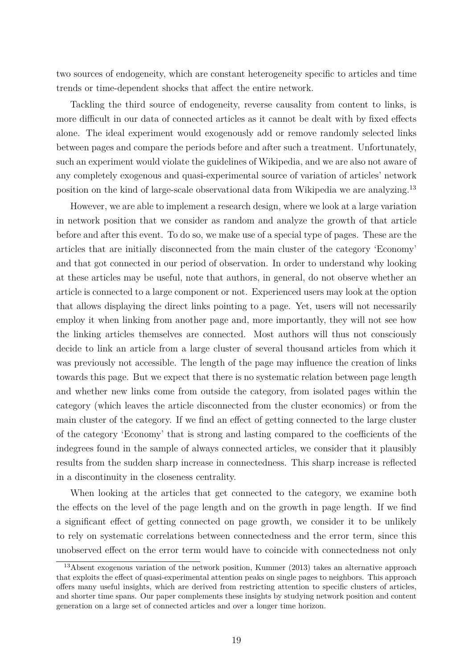two sources of endogeneity, which are constant heterogeneity specific to articles and time trends or time-dependent shocks that affect the entire network.

Tackling the third source of endogeneity, reverse causality from content to links, is more difficult in our data of connected articles as it cannot be dealt with by fixed effects alone. The ideal experiment would exogenously add or remove randomly selected links between pages and compare the periods before and after such a treatment. Unfortunately, such an experiment would violate the guidelines of Wikipedia, and we are also not aware of any completely exogenous and quasi-experimental source of variation of articles' network position on the kind of large-scale observational data from Wikipedia we are analyzing.[13](#page-18-0)

However, we are able to implement a research design, where we look at a large variation in network position that we consider as random and analyze the growth of that article before and after this event. To do so, we make use of a special type of pages. These are the articles that are initially disconnected from the main cluster of the category 'Economy' and that got connected in our period of observation. In order to understand why looking at these articles may be useful, note that authors, in general, do not observe whether an article is connected to a large component or not. Experienced users may look at the option that allows displaying the direct links pointing to a page. Yet, users will not necessarily employ it when linking from another page and, more importantly, they will not see how the linking articles themselves are connected. Most authors will thus not consciously decide to link an article from a large cluster of several thousand articles from which it was previously not accessible. The length of the page may influence the creation of links towards this page. But we expect that there is no systematic relation between page length and whether new links come from outside the category, from isolated pages within the category (which leaves the article disconnected from the cluster economics) or from the main cluster of the category. If we find an effect of getting connected to the large cluster of the category 'Economy' that is strong and lasting compared to the coefficients of the indegrees found in the sample of always connected articles, we consider that it plausibly results from the sudden sharp increase in connectedness. This sharp increase is reflected in a discontinuity in the closeness centrality.

When looking at the articles that get connected to the category, we examine both the effects on the level of the page length and on the growth in page length. If we find a significant effect of getting connected on page growth, we consider it to be unlikely to rely on systematic correlations between connectedness and the error term, since this unobserved effect on the error term would have to coincide with connectedness not only

<span id="page-18-0"></span><sup>&</sup>lt;sup>13</sup>Absent exogenous variation of the network position, [Kummer](#page-28-6) [\(2013\)](#page-28-6) takes an alternative approach that exploits the effect of quasi-experimental attention peaks on single pages to neighbors. This approach offers many useful insights, which are derived from restricting attention to specific clusters of articles, and shorter time spans. Our paper complements these insights by studying network position and content generation on a large set of connected articles and over a longer time horizon.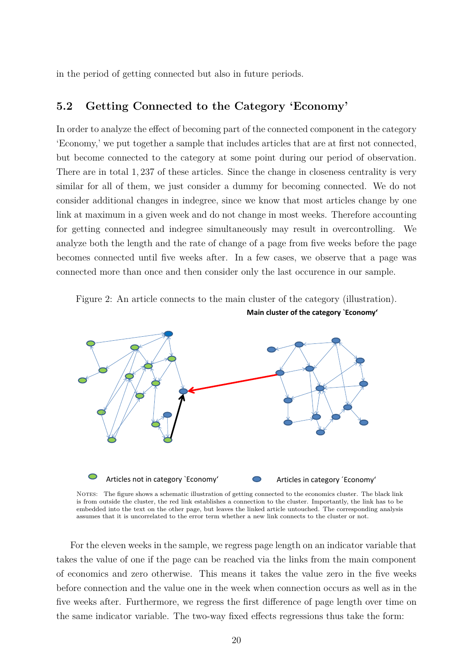in the period of getting connected but also in future periods.

### <span id="page-19-0"></span>**5.2 Getting Connected to the Category 'Economy'**

In order to analyze the effect of becoming part of the connected component in the category 'Economy,' we put together a sample that includes articles that are at first not connected, but become connected to the category at some point during our period of observation. There are in total 1*,* 237 of these articles. Since the change in closeness centrality is very similar for all of them, we just consider a dummy for becoming connected. We do not consider additional changes in indegree, since we know that most articles change by one link at maximum in a given week and do not change in most weeks. Therefore accounting for getting connected and indegree simultaneously may result in overcontrolling. We analyze both the length and the rate of change of a page from five weeks before the page becomes connected until five weeks after. In a few cases, we observe that a page was connected more than once and then consider only the last occurence in our sample.





NOTES: The figure shows a schematic illustration of getting connected to the economics cluster. The black link is from outside the cluster, the red link establishes a connection to the cluster. Importantly, the link has to be embedded into the text on the other page, but leaves the linked article untouched. The corresponding analysis assumes that it is uncorrelated to the error term whether a new link connects to the cluster or not.

For the eleven weeks in the sample, we regress page length on an indicator variable that takes the value of one if the page can be reached via the links from the main component of economics and zero otherwise. This means it takes the value zero in the five weeks before connection and the value one in the week when connection occurs as well as in the five weeks after. Furthermore, we regress the first difference of page length over time on the same indicator variable. The two-way fixed effects regressions thus take the form: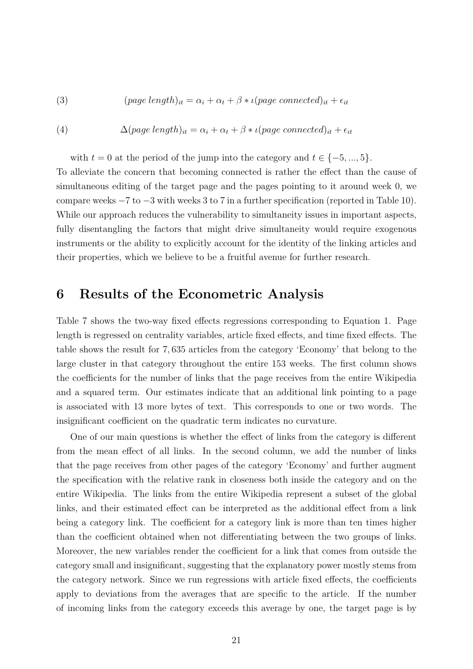(3) 
$$
(page\ length)_{it} = \alpha_i + \alpha_t + \beta * \iota (page\ connected)_{it} + \epsilon_{it}
$$

(4) 
$$
\Delta(page\ length)_{it} = \alpha_i + \alpha_t + \beta * \iota(page\ connected)_{it} + \epsilon_{it}
$$

with  $t = 0$  at the period of the jump into the category and  $t \in \{-5, ..., 5\}$ . To alleviate the concern that becoming connected is rather the effect than the cause of simultaneous editing of the target page and the pages pointing to it around week 0, we compare weeks −7 to −3 with weeks 3 to 7 in a further specification (reported in Table [10\)](#page-37-0). While our approach reduces the vulnerability to simultaneity issues in important aspects, fully disentangling the factors that might drive simultaneity would require exogenous instruments or the ability to explicitly account for the identity of the linking articles and their properties, which we believe to be a fruitful avenue for further research.

## **6 Results of the Econometric Analysis**

Table [7](#page-35-0) shows the two-way fixed effects regressions corresponding to Equation [1.](#page-17-0) Page length is regressed on centrality variables, article fixed effects, and time fixed effects. The table shows the result for 7*,* 635 articles from the category 'Economy' that belong to the large cluster in that category throughout the entire 153 weeks. The first column shows the coefficients for the number of links that the page receives from the entire Wikipedia and a squared term. Our estimates indicate that an additional link pointing to a page is associated with 13 more bytes of text. This corresponds to one or two words. The insignificant coefficient on the quadratic term indicates no curvature.

One of our main questions is whether the effect of links from the category is different from the mean effect of all links. In the second column, we add the number of links that the page receives from other pages of the category 'Economy' and further augment the specification with the relative rank in closeness both inside the category and on the entire Wikipedia. The links from the entire Wikipedia represent a subset of the global links, and their estimated effect can be interpreted as the additional effect from a link being a category link. The coefficient for a category link is more than ten times higher than the coefficient obtained when not differentiating between the two groups of links. Moreover, the new variables render the coefficient for a link that comes from outside the category small and insignificant, suggesting that the explanatory power mostly stems from the category network. Since we run regressions with article fixed effects, the coefficients apply to deviations from the averages that are specific to the article. If the number of incoming links from the category exceeds this average by one, the target page is by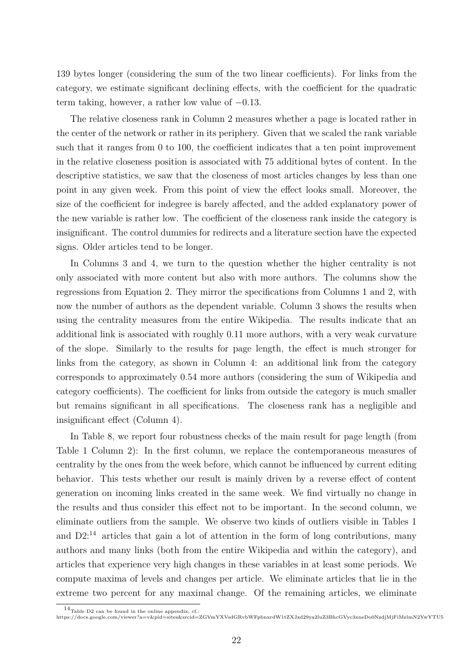139 bytes longer (considering the sum of the two linear coefficients). For links from the category, we estimate significant declining effects, with the coefficient for the quadratic term taking, however, a rather low value of −0*.*13.

The relative closeness rank in Column 2 measures whether a page is located rather in the center of the network or rather in its periphery. Given that we scaled the rank variable such that it ranges from 0 to 100, the coefficient indicates that a ten point improvement in the relative closeness position is associated with 75 additional bytes of content. In the descriptive statistics, we saw that the closeness of most articles changes by less than one point in any given week. From this point of view the effect looks small. Moreover, the size of the coefficient for indegree is barely affected, and the added explanatory power of the new variable is rather low. The coefficient of the closeness rank inside the category is insignificant. The control dummies for redirects and a literature section have the expected signs. Older articles tend to be longer.

In Columns 3 and 4, we turn to the question whether the higher centrality is not only associated with more content but also with more authors. The columns show the regressions from Equation [2.](#page-17-1) They mirror the specifications from Columns 1 and 2, with now the number of authors as the dependent variable. Column 3 shows the results when using the centrality measures from the entire Wikipedia. The results indicate that an additional link is associated with roughly 0*.*11 more authors, with a very weak curvature of the slope. Similarly to the results for page length, the effect is much stronger for links from the category, as shown in Column 4: an additional link from the category corresponds to approximately 0*.*54 more authors (considering the sum of Wikipedia and category coefficients). The coefficient for links from outside the category is much smaller but remains significant in all specifications. The closeness rank has a negligible and insignificant effect (Column 4).

In Table [8,](#page-36-0) we report four robustness checks of the main result for page length (from Table [1](#page-17-0) Column 2): In the first column, we replace the contemporaneous measures of centrality by the ones from the week before, which cannot be influenced by current editing behavior. This tests whether our result is mainly driven by a reverse effect of content generation on incoming links created in the same week. We find virtually no change in the results and thus consider this effect not to be important. In the second column, we eliminate outliers from the sample. We observe two kinds of outliers visible in Tables [1](#page-30-0) and  $D2<sup>14</sup>$  $D2<sup>14</sup>$  $D2<sup>14</sup>$  articles that gain a lot of attention in the form of long contributions, many authors and many links (both from the entire Wikipedia and within the category), and articles that experience very high changes in these variables in at least some periods. We compute maxima of levels and changes per article. We eliminate articles that lie in the extreme two percent for any maximal change. Of the remaining articles, we eliminate

<span id="page-21-0"></span><sup>14</sup>Table D2 can be found in the online appendix, cf.: [https://docs.google.com/viewer?a=v&pid=sites&srcid=ZGVmYXVsdGRvbWFpbnxrdW1tZXJzd29ya2luZ3BhcGVyc3xneDo0NzdjMjFiMzlmN2YwYTU5](#page-0-0)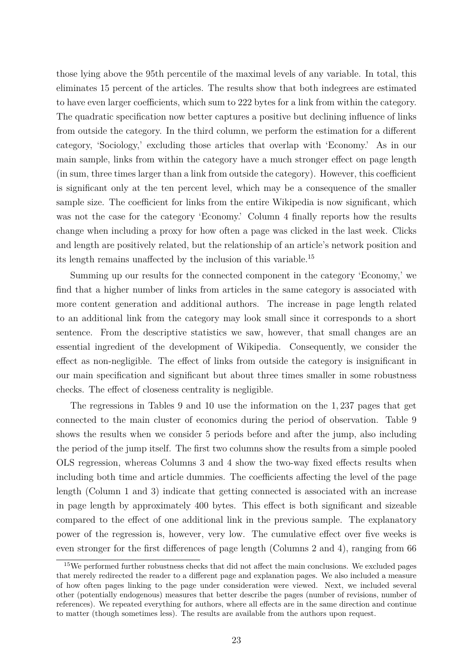those lying above the 95th percentile of the maximal levels of any variable. In total, this eliminates 15 percent of the articles. The results show that both indegrees are estimated to have even larger coefficients, which sum to 222 bytes for a link from within the category. The quadratic specification now better captures a positive but declining influence of links from outside the category. In the third column, we perform the estimation for a different category, 'Sociology,' excluding those articles that overlap with 'Economy.' As in our main sample, links from within the category have a much stronger effect on page length (in sum, three times larger than a link from outside the category). However, this coefficient is significant only at the ten percent level, which may be a consequence of the smaller sample size. The coefficient for links from the entire Wikipedia is now significant, which was not the case for the category 'Economy.' Column 4 finally reports how the results change when including a proxy for how often a page was clicked in the last week. Clicks and length are positively related, but the relationship of an article's network position and its length remains unaffected by the inclusion of this variable.[15](#page-22-0)

Summing up our results for the connected component in the category 'Economy,' we find that a higher number of links from articles in the same category is associated with more content generation and additional authors. The increase in page length related to an additional link from the category may look small since it corresponds to a short sentence. From the descriptive statistics we saw, however, that small changes are an essential ingredient of the development of Wikipedia. Consequently, we consider the effect as non-negligible. The effect of links from outside the category is insignificant in our main specification and significant but about three times smaller in some robustness checks. The effect of closeness centrality is negligible.

The regressions in Tables [9](#page-37-1) and [10](#page-37-0) use the information on the 1*,* 237 pages that get connected to the main cluster of economics during the period of observation. Table [9](#page-37-1) shows the results when we consider 5 periods before and after the jump, also including the period of the jump itself. The first two columns show the results from a simple pooled OLS regression, whereas Columns 3 and 4 show the two-way fixed effects results when including both time and article dummies. The coefficients affecting the level of the page length (Column 1 and 3) indicate that getting connected is associated with an increase in page length by approximately 400 bytes. This effect is both significant and sizeable compared to the effect of one additional link in the previous sample. The explanatory power of the regression is, however, very low. The cumulative effect over five weeks is even stronger for the first differences of page length (Columns 2 and 4), ranging from 66

<span id="page-22-0"></span><sup>&</sup>lt;sup>15</sup>We performed further robustness checks that did not affect the main conclusions. We excluded pages that merely redirected the reader to a different page and explanation pages. We also included a measure of how often pages linking to the page under consideration were viewed. Next, we included several other (potentially endogenous) measures that better describe the pages (number of revisions, number of references). We repeated everything for authors, where all effects are in the same direction and continue to matter (though sometimes less). The results are available from the authors upon request.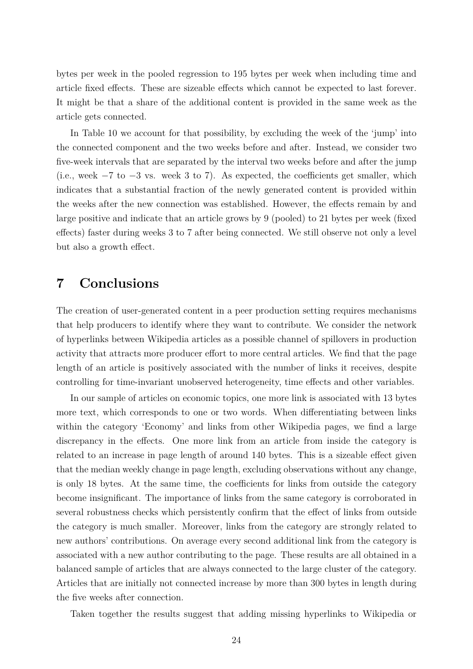bytes per week in the pooled regression to 195 bytes per week when including time and article fixed effects. These are sizeable effects which cannot be expected to last forever. It might be that a share of the additional content is provided in the same week as the article gets connected.

In Table [10](#page-37-0) we account for that possibility, by excluding the week of the 'jump' into the connected component and the two weeks before and after. Instead, we consider two five-week intervals that are separated by the interval two weeks before and after the jump (i.e., week  $-7$  to  $-3$  vs. week 3 to 7). As expected, the coefficients get smaller, which indicates that a substantial fraction of the newly generated content is provided within the weeks after the new connection was established. However, the effects remain by and large positive and indicate that an article grows by 9 (pooled) to 21 bytes per week (fixed effects) faster during weeks 3 to 7 after being connected. We still observe not only a level but also a growth effect.

## **7 Conclusions**

The creation of user-generated content in a peer production setting requires mechanisms that help producers to identify where they want to contribute. We consider the network of hyperlinks between Wikipedia articles as a possible channel of spillovers in production activity that attracts more producer effort to more central articles. We find that the page length of an article is positively associated with the number of links it receives, despite controlling for time-invariant unobserved heterogeneity, time effects and other variables.

In our sample of articles on economic topics, one more link is associated with 13 bytes more text, which corresponds to one or two words. When differentiating between links within the category 'Economy' and links from other Wikipedia pages, we find a large discrepancy in the effects. One more link from an article from inside the category is related to an increase in page length of around 140 bytes. This is a sizeable effect given that the median weekly change in page length, excluding observations without any change, is only 18 bytes. At the same time, the coefficients for links from outside the category become insignificant. The importance of links from the same category is corroborated in several robustness checks which persistently confirm that the effect of links from outside the category is much smaller. Moreover, links from the category are strongly related to new authors' contributions. On average every second additional link from the category is associated with a new author contributing to the page. These results are all obtained in a balanced sample of articles that are always connected to the large cluster of the category. Articles that are initially not connected increase by more than 300 bytes in length during the five weeks after connection.

Taken together the results suggest that adding missing hyperlinks to Wikipedia or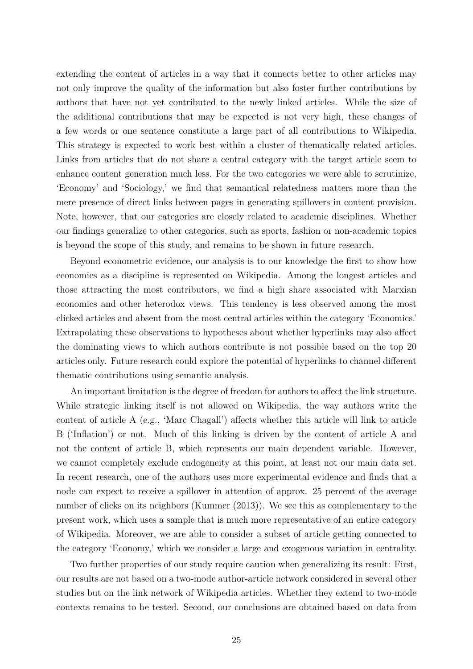extending the content of articles in a way that it connects better to other articles may not only improve the quality of the information but also foster further contributions by authors that have not yet contributed to the newly linked articles. While the size of the additional contributions that may be expected is not very high, these changes of a few words or one sentence constitute a large part of all contributions to Wikipedia. This strategy is expected to work best within a cluster of thematically related articles. Links from articles that do not share a central category with the target article seem to enhance content generation much less. For the two categories we were able to scrutinize, 'Economy' and 'Sociology,' we find that semantical relatedness matters more than the mere presence of direct links between pages in generating spillovers in content provision. Note, however, that our categories are closely related to academic disciplines. Whether our findings generalize to other categories, such as sports, fashion or non-academic topics is beyond the scope of this study, and remains to be shown in future research.

Beyond econometric evidence, our analysis is to our knowledge the first to show how economics as a discipline is represented on Wikipedia. Among the longest articles and those attracting the most contributors, we find a high share associated with Marxian economics and other heterodox views. This tendency is less observed among the most clicked articles and absent from the most central articles within the category 'Economics.' Extrapolating these observations to hypotheses about whether hyperlinks may also affect the dominating views to which authors contribute is not possible based on the top 20 articles only. Future research could explore the potential of hyperlinks to channel different thematic contributions using semantic analysis.

An important limitation is the degree of freedom for authors to affect the link structure. While strategic linking itself is not allowed on Wikipedia, the way authors write the content of article A (e.g., 'Marc Chagall') affects whether this article will link to article B ('Inflation') or not. Much of this linking is driven by the content of article A and not the content of article B, which represents our main dependent variable. However, we cannot completely exclude endogeneity at this point, at least not our main data set. In recent research, one of the authors uses more experimental evidence and finds that a node can expect to receive a spillover in attention of approx. 25 percent of the average number of clicks on its neighbors [\(Kummer](#page-28-6) [\(2013\)](#page-28-6)). We see this as complementary to the present work, which uses a sample that is much more representative of an entire category of Wikipedia. Moreover, we are able to consider a subset of article getting connected to the category 'Economy,' which we consider a large and exogenous variation in centrality.

Two further properties of our study require caution when generalizing its result: First, our results are not based on a two-mode author-article network considered in several other studies but on the link network of Wikipedia articles. Whether they extend to two-mode contexts remains to be tested. Second, our conclusions are obtained based on data from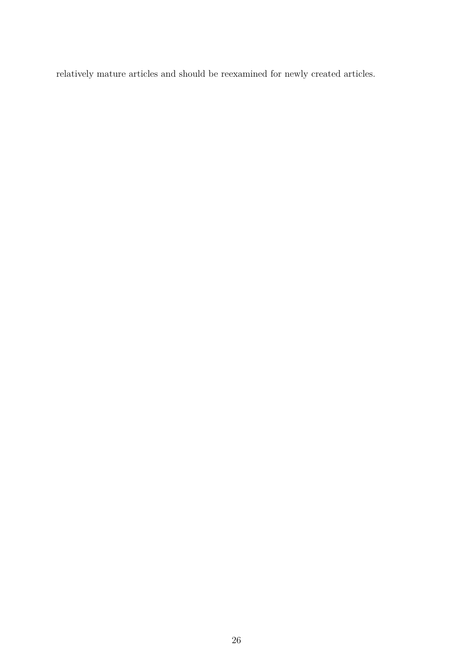relatively mature articles and should be reexamined for newly created articles.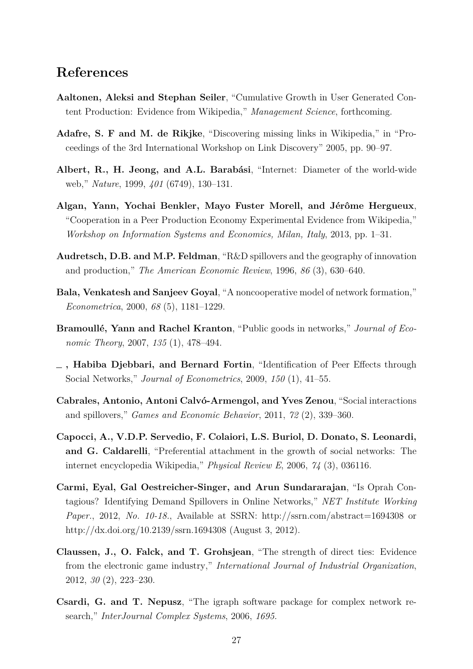## **References**

- <span id="page-26-11"></span>**Aaltonen, Aleksi and Stephan Seiler**, "Cumulative Growth in User Generated Content Production: Evidence from Wikipedia," *Management Science*, forthcoming.
- <span id="page-26-0"></span>**Adafre, S. F and M. de Rikjke**, "Discovering missing links in Wikipedia," in "Proceedings of the 3rd International Workshop on Link Discovery" 2005, pp. 90–97.
- <span id="page-26-4"></span>**Albert, R., H. Jeong, and A.L. Barabási**, "Internet: Diameter of the world-wide web," *Nature*, 1999, *401* (6749), 130–131.
- <span id="page-26-10"></span>**Algan, Yann, Yochai Benkler, Mayo Fuster Morell, and Jérôme Hergueux**, "Cooperation in a Peer Production Economy Experimental Evidence from Wikipedia," *Workshop on Information Systems and Economics, Milan, Italy*, 2013, pp. 1–31.
- <span id="page-26-1"></span>**Audretsch, D.B. and M.P. Feldman**, "R&D spillovers and the geography of innovation and production," *The American Economic Review*, 1996, *86* (3), 630–640.
- <span id="page-26-6"></span>**Bala, Venkatesh and Sanjeev Goyal**, "A noncooperative model of network formation," *Econometrica*, 2000, *68* (5), 1181–1229.
- <span id="page-26-7"></span>**Bramoullé, Yann and Rachel Kranton**, "Public goods in networks," *Journal of Economic Theory*, 2007, *135* (1), 478–494.
- <span id="page-26-8"></span>**, Habiba Djebbari, and Bernard Fortin**, "Identification of Peer Effects through Social Networks," *Journal of Econometrics*, 2009, *150* (1), 41–55.
- <span id="page-26-9"></span>**Cabrales, Antonio, Antoni Calvó-Armengol, and Yves Zenou**, "Social interactions and spillovers," *Games and Economic Behavior*, 2011, *72* (2), 339–360.
- <span id="page-26-5"></span>**Capocci, A., V.D.P. Servedio, F. Colaiori, L.S. Buriol, D. Donato, S. Leonardi, and G. Caldarelli**, "Preferential attachment in the growth of social networks: The internet encyclopedia Wikipedia," *Physical Review E*, 2006, *74* (3), 036116.
- <span id="page-26-3"></span>**Carmi, Eyal, Gal Oestreicher-Singer, and Arun Sundararajan**, "Is Oprah Contagious? Identifying Demand Spillovers in Online Networks," *NET Institute Working Paper.*, 2012, *No. 10-18.*, Available at SSRN: http://ssrn.com/abstract=1694308 or http://dx.doi.org/10.2139/ssrn.1694308 (August 3, 2012).
- <span id="page-26-2"></span>**Claussen, J., O. Falck, and T. Grohsjean**, "The strength of direct ties: Evidence from the electronic game industry," *International Journal of Industrial Organization*, 2012, *30* (2), 223–230.
- <span id="page-26-12"></span>**Csardi, G. and T. Nepusz**, "The igraph software package for complex network research," *InterJournal Complex Systems*, 2006, *1695.*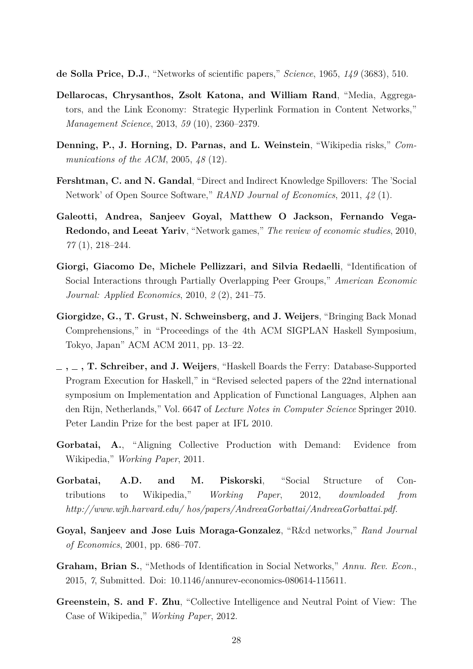<span id="page-27-1"></span>**de Solla Price, D.J.**, "Networks of scientific papers," *Science*, 1965, *149* (3683), 510.

- <span id="page-27-2"></span>**Dellarocas, Chrysanthos, Zsolt Katona, and William Rand**, "Media, Aggregators, and the Link Economy: Strategic Hyperlink Formation in Content Networks," *Management Science*, 2013, *59* (10), 2360–2379.
- <span id="page-27-7"></span>**Denning, P., J. Horning, D. Parnas, and L. Weinstein**, "Wikipedia risks," *Communications of the ACM*, 2005, *48* (12).
- <span id="page-27-0"></span>**Fershtman, C. and N. Gandal**, "Direct and Indirect Knowledge Spillovers: The 'Social Network' of Open Source Software," *RAND Journal of Economics*, 2011, *42* (1).
- <span id="page-27-4"></span>**Galeotti, Andrea, Sanjeev Goyal, Matthew O Jackson, Fernando Vega-Redondo, and Leeat Yariv**, "Network games," *The review of economic studies*, 2010, *77* (1), 218–244.
- <span id="page-27-6"></span>**Giorgi, Giacomo De, Michele Pellizzari, and Silvia Redaelli**, "Identification of Social Interactions through Partially Overlapping Peer Groups," *American Economic Journal: Applied Economics*, 2010, *2* (2), 241–75.
- <span id="page-27-12"></span>**Giorgidze, G., T. Grust, N. Schweinsberg, and J. Weijers**, "Bringing Back Monad Comprehensions," in "Proceedings of the 4th ACM SIGPLAN Haskell Symposium, Tokyo, Japan" ACM ACM 2011, pp. 13–22.
- <span id="page-27-11"></span>**, , T. Schreiber, and J. Weijers**, "Haskell Boards the Ferry: Database-Supported Program Execution for Haskell," in "Revised selected papers of the 22nd international symposium on Implementation and Application of Functional Languages, Alphen aan den Rijn, Netherlands," Vol. 6647 of *Lecture Notes in Computer Science* Springer 2010. Peter Landin Prize for the best paper at IFL 2010.
- <span id="page-27-10"></span>**Gorbatai, A.**, "Aligning Collective Production with Demand: Evidence from Wikipedia," *Working Paper*, 2011.
- <span id="page-27-8"></span>**Gorbatai, A.D. and M. Piskorski**, "Social Structure of Contributions to Wikipedia," *Working Paper*, 2012, *downloaded from http://www.wjh.harvard.edu/ hos/papers/AndreeaGorbattai/AndreeaGorbattai.pdf.*
- <span id="page-27-5"></span>**Goyal, Sanjeev and Jose Luis Moraga-Gonzalez**, "R&d networks," *Rand Journal of Economics*, 2001, pp. 686–707.
- <span id="page-27-3"></span>**Graham, Brian S.**, "Methods of Identification in Social Networks," *Annu. Rev. Econ.*, 2015, *7*, Submitted. Doi: 10.1146/annurev-economics-080614-115611.
- <span id="page-27-9"></span>**Greenstein, S. and F. Zhu**, "Collective Intelligence and Neutral Point of View: The Case of Wikipedia," *Working Paper*, 2012.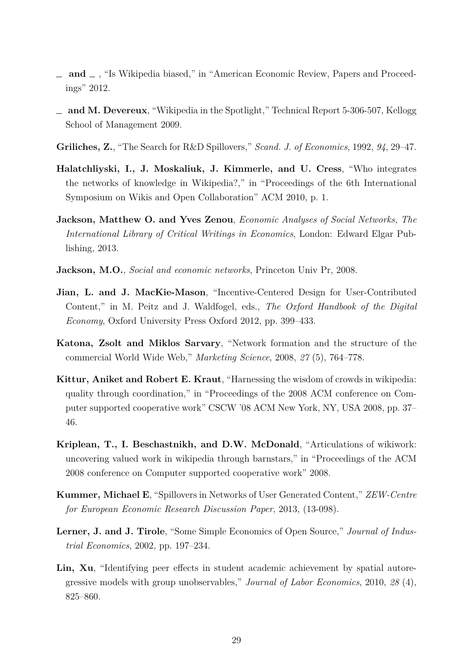- <span id="page-28-12"></span>**and** , "Is Wikipedia biased," in "American Economic Review, Papers and Proceedings" 2012.
- <span id="page-28-2"></span>**and M. Devereux**, "Wikipedia in the Spotlight," Technical Report 5-306-507, Kellogg School of Management 2009.
- <span id="page-28-3"></span>**Griliches, Z.**, "The Search for R&D Spillovers," *Scand. J. of Economics*, 1992, *94*, 29–47.
- <span id="page-28-8"></span>**Halatchliyski, I., J. Moskaliuk, J. Kimmerle, and U. Cress**, "Who integrates the networks of knowledge in Wikipedia?," in "Proceedings of the 6th International Symposium on Wikis and Open Collaboration" ACM 2010, p. 1.
- <span id="page-28-5"></span>**Jackson, Matthew O. and Yves Zenou**, *Economic Analyses of Social Networks, The International Library of Critical Writings in Economics*, London: Edward Elgar Publishing, 2013.
- <span id="page-28-4"></span>**Jackson, M.O.**, *Social and economic networks*, Princeton Univ Pr, 2008.
- <span id="page-28-1"></span>**Jian, L. and J. MacKie-Mason**, "Incentive-Centered Design for User-Contributed Content," in M. Peitz and J. Waldfogel, eds., *The Oxford Handbook of the Digital Economy*, Oxford University Press Oxford 2012, pp. 399–433.
- <span id="page-28-7"></span>**Katona, Zsolt and Miklos Sarvary**, "Network formation and the structure of the commercial World Wide Web," *Marketing Science*, 2008, *27* (5), 764–778.
- <span id="page-28-11"></span>**Kittur, Aniket and Robert E. Kraut**, "Harnessing the wisdom of crowds in wikipedia: quality through coordination," in "Proceedings of the 2008 ACM conference on Computer supported cooperative work" CSCW '08 ACM New York, NY, USA 2008, pp. 37– 46.
- <span id="page-28-10"></span>**Kriplean, T., I. Beschastnikh, and D.W. McDonald**, "Articulations of wikiwork: uncovering valued work in wikipedia through barnstars," in "Proceedings of the ACM 2008 conference on Computer supported cooperative work" 2008.
- <span id="page-28-6"></span>**Kummer, Michael E**, "Spillovers in Networks of User Generated Content," *ZEW-Centre for European Economic Research Discussion Paper*, 2013, (13-098).
- <span id="page-28-0"></span>**Lerner, J. and J. Tirole**, "Some Simple Economics of Open Source," *Journal of Industrial Economics*, 2002, pp. 197–234.
- <span id="page-28-9"></span>Lin, Xu, "Identifying peer effects in student academic achievement by spatial autoregressive models with group unobservables," *Journal of Labor Economics*, 2010, *28* (4), 825–860.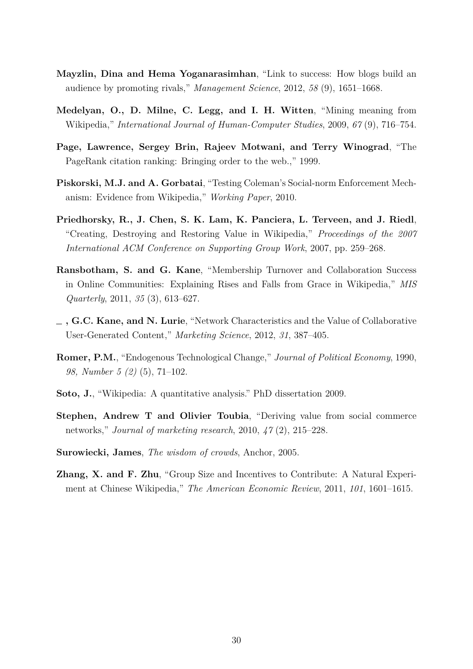- <span id="page-29-6"></span>**Mayzlin, Dina and Hema Yoganarasimhan**, "Link to success: How blogs build an audience by promoting rivals," *Management Science*, 2012, *58* (9), 1651–1668.
- <span id="page-29-0"></span>**Medelyan, O., D. Milne, C. Legg, and I. H. Witten**, "Mining meaning from Wikipedia," *International Journal of Human-Computer Studies*, 2009, *67* (9), 716–754.
- <span id="page-29-4"></span>**Page, Lawrence, Sergey Brin, Rajeev Motwani, and Terry Winograd**, "The PageRank citation ranking: Bringing order to the web.," 1999.
- <span id="page-29-10"></span>**Piskorski, M.J. and A. Gorbatai**, "Testing Coleman's Social-norm Enforcement Mechanism: Evidence from Wikipedia," *Working Paper*, 2010.
- <span id="page-29-1"></span>**Priedhorsky, R., J. Chen, S. K. Lam, K. Panciera, L. Terveen, and J. Riedl**, "Creating, Destroying and Restoring Value in Wikipedia," *Proceedings of the 2007 International ACM Conference on Supporting Group Work*, 2007, pp. 259–268.
- <span id="page-29-11"></span>**Ransbotham, S. and G. Kane**, "Membership Turnover and Collaboration Success in Online Communities: Explaining Rises and Falls from Grace in Wikipedia," *MIS Quarterly*, 2011, *35* (3), 613–627.
- <span id="page-29-9"></span>**, G.C. Kane, and N. Lurie**, "Network Characteristics and the Value of Collaborative User-Generated Content," *Marketing Science*, 2012, *31*, 387–405.
- <span id="page-29-2"></span>**Romer, P.M.**, "Endogenous Technological Change," *Journal of Political Economy*, 1990, *98, Number 5 (2)* (5), 71–102.
- <span id="page-29-7"></span>**Soto, J.**, "Wikipedia: A quantitative analysis." PhD dissertation 2009.
- <span id="page-29-3"></span>**Stephen, Andrew T and Olivier Toubia**, "Deriving value from social commerce networks," *Journal of marketing research*, 2010, *47* (2), 215–228.
- <span id="page-29-5"></span>**Surowiecki, James**, *The wisdom of crowds*, Anchor, 2005.
- <span id="page-29-8"></span>**Zhang, X. and F. Zhu**, "Group Size and Incentives to Contribute: A Natural Experiment at Chinese Wikipedia," *The American Economic Review*, 2011, *101*, 1601–1615.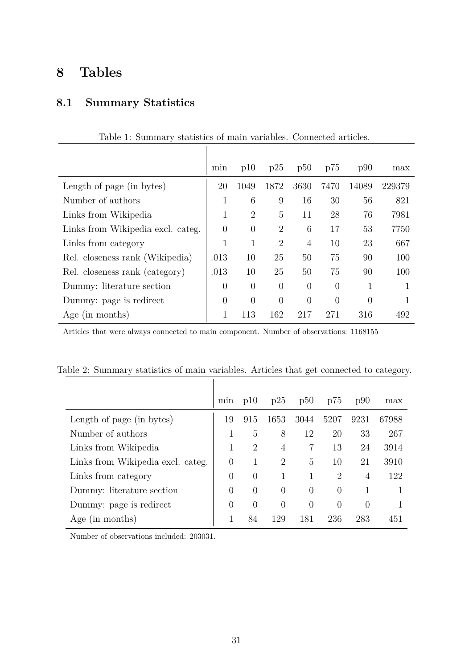# **8 Tables**

## **8.1 Summary Statistics**

|                                   | min      | p10          | p25            | p50            | p75      | p90      | max    |
|-----------------------------------|----------|--------------|----------------|----------------|----------|----------|--------|
| Length of page (in bytes)         | 20       | 1049         | 1872           | 3630           | 7470     | 14089    | 229379 |
| Number of authors                 | 1        | 6            | 9              | 16             | 30       | 56       | 821    |
| Links from Wikipedia              |          | 2            | 5              | 11             | 28       | 76       | 7981   |
| Links from Wikipedia excl. categ. | $\Omega$ | $\theta$     | $\overline{2}$ | 6              | 17       | 53       | 7750   |
| Links from category               |          | $\mathbf{1}$ | $\overline{2}$ | $\overline{4}$ | 10       | 23       | 667    |
| Rel. closeness rank (Wikipedia)   | .013     | 10           | 25             | 50             | 75       | 90       | 100    |
| Rel. closeness rank (category)    | .013     | 10           | 25             | 50             | 75       | 90       | 100    |
| Dummy: literature section         | $\Omega$ | $\theta$     | $\theta$       | $\theta$       | $\theta$ | 1        | 1      |
| Dummy: page is redirect           | $\theta$ | $\Omega$     | $\overline{0}$ | $\overline{0}$ | $\Omega$ | $\Omega$ |        |
| Age (in months)                   |          | 113          | 162            | 217            | 271      | 316      | 492    |

<span id="page-30-0"></span>Table 1: Summary statistics of main variables. Connected articles.

Articles that were always connected to main component. Number of observations: 1168155

<span id="page-30-1"></span>

|                                   | min            | p10            | p25            | p50            | p75            | p90      | max   |
|-----------------------------------|----------------|----------------|----------------|----------------|----------------|----------|-------|
| Length of page (in bytes)         | 19             | 915            | 1653           | 3044           | 5207           | 9231     | 67988 |
| Number of authors                 | 1              | 5              | 8              | 12             | 20             | 33       | 267   |
| Links from Wikipedia              | 1              | $\overline{2}$ | 4              |                | 13             | 24       | 3914  |
| Links from Wikipedia excl. categ. | $\overline{0}$ |                | $\overline{2}$ | 5              | 10             | 21       | 3910  |
| Links from category               | $\overline{0}$ | $\theta$       | 1              | 1              | $\overline{2}$ | 4        | 122   |
| Dummy: literature section         | $\overline{0}$ | $\Omega$       | $\Omega$       | $\theta$       | $\theta$       | 1        |       |
| Dummy: page is redirect           | 0              | $\Omega$       | $\Omega$       | $\overline{0}$ | $\theta$       | $\theta$ |       |
| Age (in months)                   |                | 84             | 129            | 181            | 236            | 283      | 451   |

Table 2: Summary statistics of main variables. Articles that get connected to category.

Number of observations included: 203031.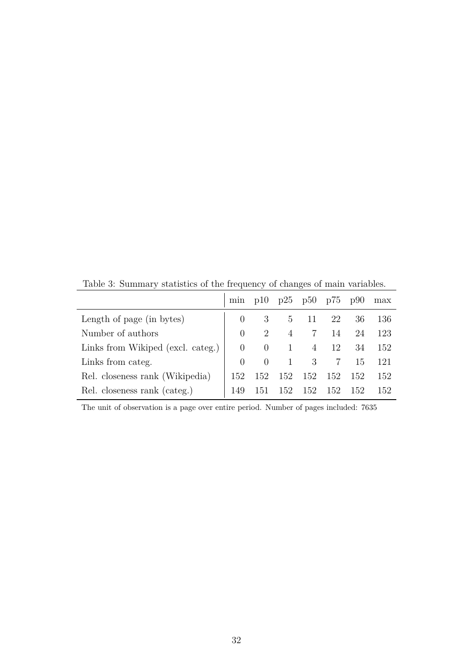|                                           | min              |                 |                | p10 p25 p50 p75 p90 max |     |       |     |
|-------------------------------------------|------------------|-----------------|----------------|-------------------------|-----|-------|-----|
| Length of page (in bytes)                 |                  | 3               | $5^{\circ}$    | 11                      | 22  | 36    | 136 |
| Number of authors                         |                  | $\mathcal{D}$   | $\overline{4}$ | 7                       | 14  | 24    | 123 |
| Links from Wikiped (excl. categ.) $\vert$ | $\left( \right)$ | $\vert 0 \vert$ | 1              | 4 12                    |     | 34    | 152 |
| Links from categ.                         |                  | $\Omega$        |                | 3 7                     |     | 15    | 121 |
| Rel. closeness rank (Wikipedia)           | 152              | 152             | 152            | 152                     | 152 | 152   | 152 |
| Rel. closeness rank (categ.)              | 149              | 151             | 152            | 152                     | 152 | - 152 | 152 |

<span id="page-31-0"></span>Table 3: Summary statistics of the frequency of changes of main variables.

The unit of observation is a page over entire period. Number of pages included: 7635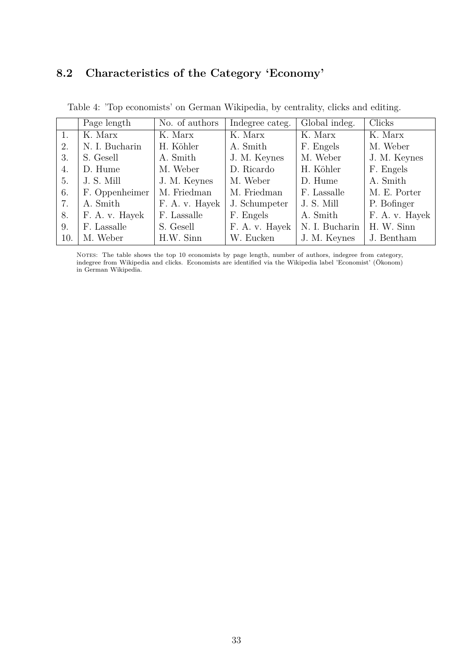## **8.2 Characteristics of the Category 'Economy'**

|     | Page length    | No. of authors | Indegree categ. | Global indeg.  | Clicks         |
|-----|----------------|----------------|-----------------|----------------|----------------|
| 1.  | K. Marx        | K. Marx        | K. Marx         | K. Marx        | K. Marx        |
| 2.  | N. I. Bucharin | H. Köhler      | A. Smith        | F. Engels      | M. Weber       |
| 3.  | S. Gesell      | A. Smith       | J. M. Keynes    | M. Weber       | J. M. Keynes   |
| 4.  | D. Hume        | M. Weber       | D. Ricardo      | H. Köhler      | F. Engels      |
| 5.  | J. S. Mill     | J. M. Keynes   | M. Weber        | D. Hume        | A. Smith       |
| 6.  | F. Oppenheimer | M. Friedman    | M. Friedman     | F. Lassalle    | M. E. Porter   |
| 7.  | A. Smith       | F. A. v. Hayek | J. Schumpeter   | J. S. Mill     | P. Bofinger    |
| 8.  | F. A. v. Hayek | F. Lassalle    | F. Engels       | A. Smith       | F. A. v. Hayek |
| 9.  | F. Lassalle    | S. Gesell      | F. A. v. Hayek  | N. I. Bucharin | H. W. Sinn     |
| 10. | M. Weber       | H.W. Sinn      | W. Eucken       | J. M. Keynes   | J. Bentham     |

<span id="page-32-0"></span>Table 4: 'Top economists' on German Wikipedia, by centrality, clicks and editing.

NOTES: The table shows the top 10 economists by page length, number of authors, indegree from category, indegree from Wikipedia and clicks. Economists are identified via the Wikipedia label 'Economist' (Ökonom) in German Wikipedia.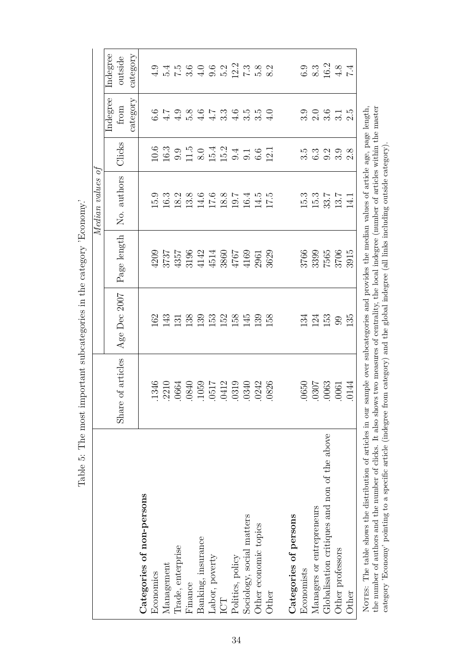Table 5: The most important subcategories in the category 'Economy.' Table 5: The most important subcategories in the category 'Economy.'

<span id="page-33-0"></span>

|                                                                                                                                                                                                                                                                                                                                                               |                   |                                                                                      |             | $Median$ values of |         |                  |               |
|---------------------------------------------------------------------------------------------------------------------------------------------------------------------------------------------------------------------------------------------------------------------------------------------------------------------------------------------------------------|-------------------|--------------------------------------------------------------------------------------|-------------|--------------------|---------|------------------|---------------|
|                                                                                                                                                                                                                                                                                                                                                               |                   |                                                                                      |             |                    |         | Indegree         | Indegree      |
|                                                                                                                                                                                                                                                                                                                                                               | Share of articles | Age Dec 2007                                                                         | Page length | No. authors        | Clicks  | from             | outside       |
|                                                                                                                                                                                                                                                                                                                                                               |                   |                                                                                      |             |                    |         | category         | category      |
| Categories of non-persons                                                                                                                                                                                                                                                                                                                                     |                   |                                                                                      |             |                    |         |                  |               |
| Economics                                                                                                                                                                                                                                                                                                                                                     | 1346              | <b>S</b>                                                                             | 4209        | 15.9               | 10.6    |                  |               |
| Management                                                                                                                                                                                                                                                                                                                                                    | .2210             | 143                                                                                  | 3737        | 16.3               | 16.3    |                  | 5.4           |
| Trade, enterprise                                                                                                                                                                                                                                                                                                                                             | .0664             | 131                                                                                  | 4357        | 18.2               | 0.9     | 4.9              | $\frac{c}{2}$ |
| Finance                                                                                                                                                                                                                                                                                                                                                       | 0840              | 138                                                                                  | 3196        | 13.8               | 11.5    | 5.8              | $3.6\,$       |
| Banking, insurance                                                                                                                                                                                                                                                                                                                                            | 1059              | 139                                                                                  | 4142        | 14.6               | $8.0\,$ | 4.6              | 4.0           |
| Labor, poverty                                                                                                                                                                                                                                                                                                                                                | 0517              | 153                                                                                  | 4514        | 17.6               | 15.4    | 1.7              | 9.6           |
| ICT                                                                                                                                                                                                                                                                                                                                                           | .0412             | 152                                                                                  | 3860        | 18.8               | 15.2    | $3.\overline{3}$ | 5.2           |
| Politics, policy                                                                                                                                                                                                                                                                                                                                              | .0319             | 158                                                                                  | 4767        | 19.7               | 9.4     | 4.6              | 12.2          |
| Sociology, social matters                                                                                                                                                                                                                                                                                                                                     | 0340              | 145                                                                                  | 4169        | 16.4               | 9.1     | $3.\overline{5}$ | 7.3           |
| Other economic topics                                                                                                                                                                                                                                                                                                                                         | 0242              | 139                                                                                  | 2961        | 14.5               | 6.6     | 3.5              | 5.8           |
| Other                                                                                                                                                                                                                                                                                                                                                         | .0826             | 158                                                                                  | 3629        | 17.5               | 12.1    |                  | 8.2           |
| Categories of persons                                                                                                                                                                                                                                                                                                                                         |                   |                                                                                      |             |                    |         |                  |               |
|                                                                                                                                                                                                                                                                                                                                                               |                   |                                                                                      |             |                    |         |                  |               |
| Economists                                                                                                                                                                                                                                                                                                                                                    | .0650             | 134                                                                                  | 3766        | 15.3               | 3.5     | $3.\overline{9}$ | 6.9           |
| Managers or entrepreneurs                                                                                                                                                                                                                                                                                                                                     | .0307             | 124                                                                                  | 3399        | 15.3               | 6.3     | 2.0              | $8.3\,$       |
| Globalisation critiques and non of the above                                                                                                                                                                                                                                                                                                                  | .0063             | 153                                                                                  | 7565        | 33.7               | 9.2     | 3.6              | 16.2          |
| Other professors                                                                                                                                                                                                                                                                                                                                              | .0061             | 99                                                                                   | 3706        | 13.7               | 3.9     | $\frac{1}{3}$    | $4.8\,$       |
| Other                                                                                                                                                                                                                                                                                                                                                         | .0144             | 135                                                                                  | 3915        | 14.1               | 2.8     | S:2              | 7.4           |
| the number of authors and the number of clicks. It also shows two measures of centrality, the local indegree (number of articles within the master<br>category 'Economy' pointing to a specific article (indegree from category) and the global indegree (all links including outside category)<br>NOTES: The table shows the distribution of articles in our |                   | sample over subcategories and provides the median values of article age, page length |             |                    |         |                  |               |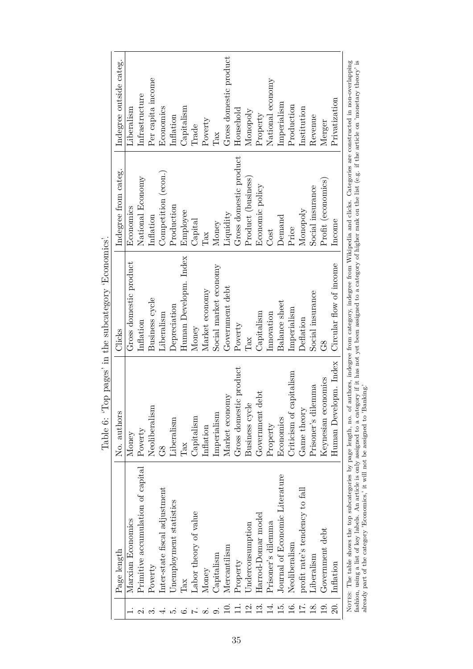<span id="page-34-0"></span>

|                |                                                                                                                                                                                                                                                                                                                                                                                                                                                                                   | $\mathbf{r}$ being         | $\mathcal{C}_{\tau}$ , $\mathcal{C}_{\tau}$ , $\mathcal{C}_{\tau}$ |                            |                         |
|----------------|-----------------------------------------------------------------------------------------------------------------------------------------------------------------------------------------------------------------------------------------------------------------------------------------------------------------------------------------------------------------------------------------------------------------------------------------------------------------------------------|----------------------------|--------------------------------------------------------------------|----------------------------|-------------------------|
|                | Page length                                                                                                                                                                                                                                                                                                                                                                                                                                                                       | No. authors                | Clicks                                                             | Indegree from categ.       | Indegree outside categ. |
|                | Marxian Economics                                                                                                                                                                                                                                                                                                                                                                                                                                                                 | Money                      | Gross domestic product                                             | Economics                  | Liberalism              |
|                | Primitive accumulation of capital                                                                                                                                                                                                                                                                                                                                                                                                                                                 | Poverty                    | Inflation                                                          | National Economy           | Infrastructure          |
| ကဲ             | Poverty                                                                                                                                                                                                                                                                                                                                                                                                                                                                           | Neoliberalism              | Business cycle                                                     | Inflation                  | Per capita income       |
| $\div$         | Inter-state fiscal adjustment                                                                                                                                                                                                                                                                                                                                                                                                                                                     | 89                         | Liberalism                                                         | Competition (econ.)        | Economics               |
| ທ່             | Unemployment statistics                                                                                                                                                                                                                                                                                                                                                                                                                                                           | Liberalism                 | Depreciation                                                       | Production                 | Inflation               |
|                | Tax                                                                                                                                                                                                                                                                                                                                                                                                                                                                               | Tax                        | Human Developm. Index                                              | Employee                   | Capitalism              |
|                | Labor theory of value                                                                                                                                                                                                                                                                                                                                                                                                                                                             | Capitalism                 | Money                                                              | Capital                    | Trade                   |
|                | Money                                                                                                                                                                                                                                                                                                                                                                                                                                                                             | Inflation                  | Market economy                                                     | Tax                        | Poverty                 |
|                | Capitalism                                                                                                                                                                                                                                                                                                                                                                                                                                                                        | Imperialism                | Social market economy                                              | Money                      | Tax                     |
| $\Xi$          | Mercantilism                                                                                                                                                                                                                                                                                                                                                                                                                                                                      | Market economy             | Government debt                                                    | Liquidity                  | Gross domestic product  |
| $\exists$      | Property                                                                                                                                                                                                                                                                                                                                                                                                                                                                          | Gross domestic product     | Poverty                                                            | Gross domestic product     | Household               |
| 12.            | Underconsumption                                                                                                                                                                                                                                                                                                                                                                                                                                                                  | Business cycle             | $\text{Tax}$                                                       | Product (business)         | Monopoly                |
| 13.            | Harrod-Domar model                                                                                                                                                                                                                                                                                                                                                                                                                                                                | debt<br>Government         | Capitalism                                                         | Economic policy            | Property                |
| 14.            | Prisoner's dilemma                                                                                                                                                                                                                                                                                                                                                                                                                                                                | Property                   | Innovation                                                         | Cost                       | National economy        |
| 15.            | Journal of Economic Literature                                                                                                                                                                                                                                                                                                                                                                                                                                                    | Economics                  | Balance sheet                                                      | $\mathop{\mathrm{Deanad}}$ | Imperialism             |
| 16.            | Neoliberalism                                                                                                                                                                                                                                                                                                                                                                                                                                                                     | capitalism<br>Criticism of | Imperialism                                                        | Price                      | Production              |
| 17.            | profit rate's tendency to fall                                                                                                                                                                                                                                                                                                                                                                                                                                                    | Game theory                | Deflation                                                          | Monopoly                   | Institution             |
| $\frac{8}{18}$ | Liberalism                                                                                                                                                                                                                                                                                                                                                                                                                                                                        | Prisoner's dilemma         | Social insurance                                                   | Social insurance           | Revenue                 |
|                | Government debt                                                                                                                                                                                                                                                                                                                                                                                                                                                                   | Keynesian economics        | 8S                                                                 | Profit (economics)         | Merger                  |
| <u>ລິ</u>      | Inflation                                                                                                                                                                                                                                                                                                                                                                                                                                                                         | Human Developm. Index      | Circular flow of income                                            | Income                     | Privatization           |
|                | NOTES: The table shows the top subcategories by page length, no. of authors, indegree from category, indegree from Wikipedia and clicks. Categories are constructed in non-overlapping<br>fashion, using a list of key labels. An article is only assigned to a category if it has not yet been assigned to a category of higher rank on the list (e.g. if the article on 'monetary theory' is<br>already part of the category 'Economics,' it will not be assigned to 'Banking.' |                            |                                                                    |                            |                         |

Table 6: 'Top pages' in the subcategory 'Economics'. Table 6: 'Top pages' in the subcategory 'Economics'.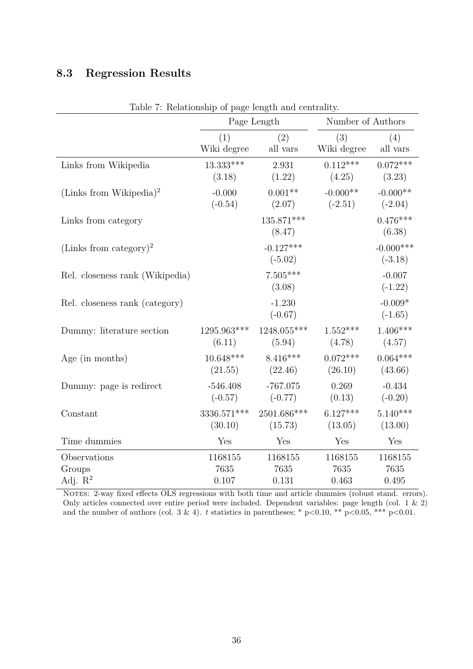## **8.3 Regression Results**

| asie 11 reciembrile or page tengen and contrainty |             | Page Length                        | Number of Authors |                          |
|---------------------------------------------------|-------------|------------------------------------|-------------------|--------------------------|
|                                                   | (1)         | (2)                                | (3)               | (4)                      |
|                                                   | Wiki degree | all vars                           | Wiki degree       | all vars                 |
| Links from Wikipedia                              | $13.333***$ | 2.931                              | $0.112***$        | $0.072***$               |
|                                                   | (3.18)      | (1.22)                             | (4.25)            | (3.23)                   |
| (Links from Wikipedia) <sup>2</sup>               | $-0.000$    | $0.001**$                          | $-0.000$ **       | $-0.000**$               |
|                                                   | $(-0.54)$   | (2.07)                             | $(-2.51)$         | $(-2.04)$                |
| Links from category                               |             | $135.871^{\ast\ast\ast}$<br>(8.47) |                   | $0.476***$<br>(6.38)     |
| (Links from category) <sup>2</sup>                |             | $-0.127***$<br>$(-5.02)$           |                   | $-0.000***$<br>$(-3.18)$ |
| Rel. closeness rank (Wikipedia)                   |             | $7.505***$<br>(3.08)               |                   | $-0.007$<br>$(-1.22)$    |
| Rel. closeness rank (category)                    |             | $-1.230$<br>$(-0.67)$              |                   | $-0.009*$<br>$(-1.65)$   |
| Dummy: literature section                         | 1295.963*** | $1248.055***$                      | $1.552***$        | $1.406***$               |
|                                                   | (6.11)      | (5.94)                             | (4.78)            | (4.57)                   |
| Age (in months)                                   | $10.648***$ | $8.416***$                         | $0.072***$        | $0.064***$               |
|                                                   | (21.55)     | (22.46)                            | (26.10)           | (43.66)                  |
| Dummy: page is redirect                           | $-546.408$  | $-767.075$                         | 0.269             | $-0.434$                 |
|                                                   | $(-0.57)$   | $(-0.77)$                          | (0.13)            | $(-0.20)$                |
| Constant                                          | 3336.571*** | 2501.686***                        | $6.127***$        | $5.140***$               |
|                                                   | (30.10)     | (15.73)                            | (13.05)           | (13.00)                  |
| Time dummies                                      | Yes         | Yes                                | Yes               | Yes                      |
| Observations                                      | 1168155     | 1168155                            | 1168155           | 1168155                  |
| Groups                                            | 7635        | 7635                               | 7635              | 7635                     |
| Adj. $\mathbb{R}^2$                               | 0.107       | 0.131                              | 0.463             | 0.495                    |

<span id="page-35-0"></span>Table 7: Relationship of page length and centrality.

NOTES: 2-way fixed effects OLS regressions with both time and article dummies (robust stand. errors). Only articles connected over entire period were included. Dependent variables: page length (col. 1 & 2) and the number of authors (col. 3 & 4). *t* statistics in parentheses; \* p<0.10, \*\* p<0.05, \*\*\* p<0.01.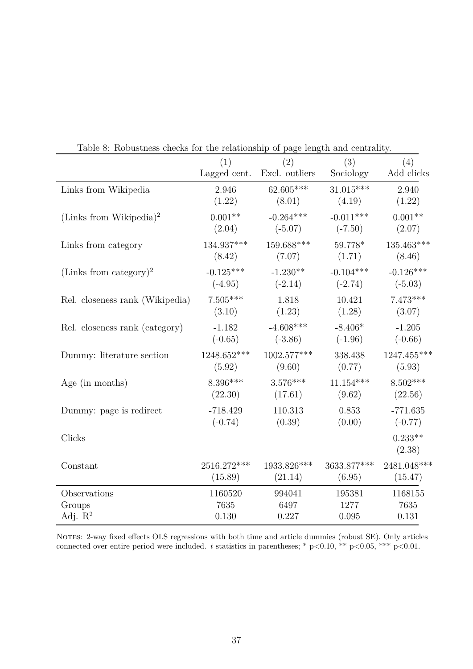|                                     | (1)           | (2)            | (3)         | (4)         |
|-------------------------------------|---------------|----------------|-------------|-------------|
|                                     | Lagged cent.  | Excl. outliers | Sociology   | Add clicks  |
| Links from Wikipedia                | 2.946         | 62.605***      | $31.015***$ | 2.940       |
|                                     | (1.22)        | (8.01)         | (4.19)      | (1.22)      |
| (Links from Wikipedia) <sup>2</sup> | $0.001**$     | $-0.264***$    | $-0.011***$ | $0.001**$   |
|                                     | (2.04)        | $(-5.07)$      | $(-7.50)$   | (2.07)      |
| Links from category                 | 134.937***    | 159.688***     | 59.778*     | 135.463***  |
|                                     | (8.42)        | (7.07)         | (1.71)      | (8.46)      |
| (Links from category) <sup>2</sup>  | $-0.125***$   | $-1.230**$     | $-0.104***$ | $-0.126***$ |
|                                     | $(-4.95)$     | $(-2.14)$      | $(-2.74)$   | $(-5.03)$   |
| Rel. closeness rank (Wikipedia)     | $7.505***$    | 1.818          | 10.421      | $7.473***$  |
|                                     | (3.10)        | (1.23)         | (1.28)      | (3.07)      |
| Rel. closeness rank (category)      | $-1.182$      | $-4.608***$    | $-8.406*$   | $-1.205$    |
|                                     | $(-0.65)$     | $(-3.86)$      | $(-1.96)$   | $(-0.66)$   |
| Dummy: literature section           | $1248.652***$ | $1002.577***$  | 338.438     | 1247.455*** |
|                                     | (5.92)        | (9.60)         | (0.77)      | (5.93)      |
| Age (in months)                     | $8.396***$    | $3.576***$     | $11.154***$ | $8.502***$  |
|                                     | (22.30)       | (17.61)        | (9.62)      | (22.56)     |
| Dummy: page is redirect             | $-718.429$    | 110.313        | 0.853       | $-771.635$  |
|                                     | $(-0.74)$     | (0.39)         | (0.00)      | $(-0.77)$   |
| Clicks                              |               |                |             | $0.233**$   |
|                                     |               |                |             | (2.38)      |
| Constant                            | 2516.272***   | 1933.826***    | 3633.877*** | 2481.048*** |
|                                     | (15.89)       | (21.14)        | (6.95)      | (15.47)     |
| Observations                        | 1160520       | 994041         | 195381      | 1168155     |
| Groups                              | 7635          | 6497           | 1277        | 7635        |
| Adj. $R^2$                          | 0.130         | 0.227          | 0.095       | 0.131       |

<span id="page-36-0"></span>Table 8: Robustness checks for the relationship of page length and centrality.

NOTES: 2-way fixed effects OLS regressions with both time and article dummies (robust SE). Only articles connected over entire period were included. *t* statistics in parentheses; \* p<0.10, \*\* p<0.05, \*\*\* p<0.01.